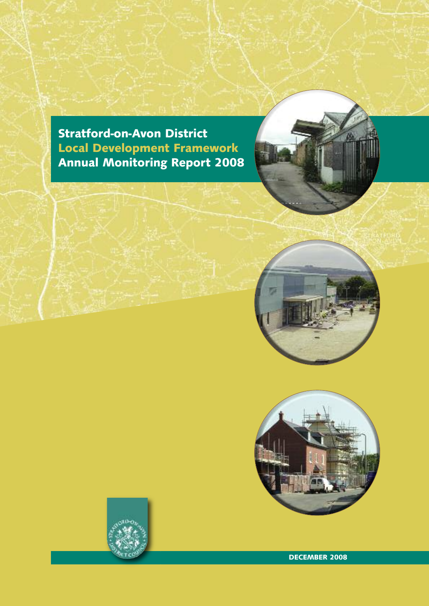**Stratford-on-Avon District Local Development Framework Annual Monitoring Report 2008**







**DECEMBER 2008**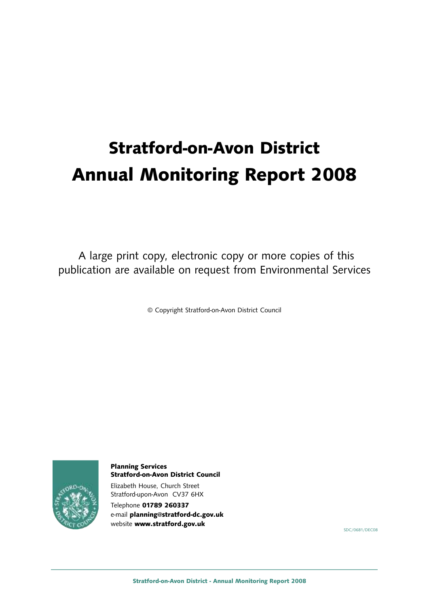# **Stratford-on-Avon District Annual Monitoring Report 2008**

A large print copy, electronic copy or more copies of this publication are available on request from Environmental Services

© Copyright Stratford-on-Avon District Council



**Planning Services Stratford-on-Avon District Council**

Elizabeth House, Church Street Stratford-upon-Avon CV37 6HX

Telephone **01789 260337** e-mail **planning@stratford-dc.gov.uk** website **www.stratford.gov.uk**

SDC/0681/DEC08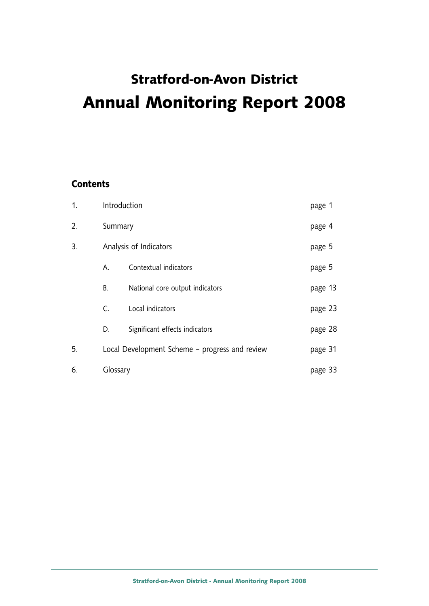# **Stratford-on-Avon District Annual Monitoring Report 2008**

# **Contents**

| 1. | Introduction |                                                | page 1  |  |
|----|--------------|------------------------------------------------|---------|--|
| 2. | Summary      |                                                | page 4  |  |
| 3. |              | Analysis of Indicators                         | page 5  |  |
|    | Α.           | Contextual indicators                          | page 5  |  |
|    | В.           | National core output indicators                | page 13 |  |
|    | C.           | Local indicators                               | page 23 |  |
|    | D.           | Significant effects indicators                 | page 28 |  |
| 5. |              | Local Development Scheme - progress and review | page 31 |  |
| 6. | Glossary     |                                                | page 33 |  |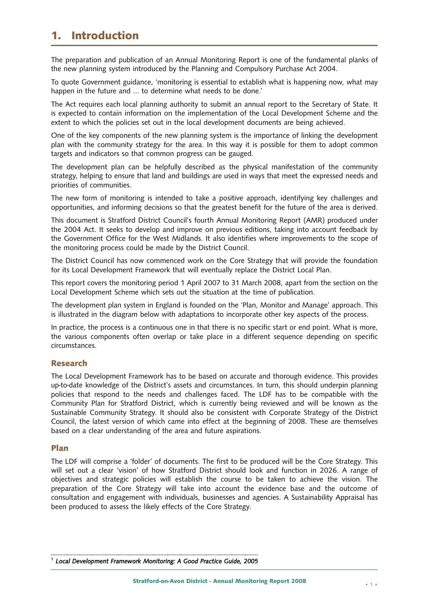# **1. Introduction**

The preparation and publication of an Annual Monitoring Report is one of the fundamental planks of the new planning system introduced by the Planning and Compulsory Purchase Act 2004.

To quote Government guidance, 'monitoring is essential to establish what is happening now, what may happen in the future and … to determine what needs to be done.'

The Act requires each local planning authority to submit an annual report to the Secretary of State. It is expected to contain information on the implementation of the Local Development Scheme and the extent to which the policies set out in the local development documents are being achieved.

One of the key components of the new planning system is the importance of linking the development plan with the community strategy for the area. In this way it is possible for them to adopt common targets and indicators so that common progress can be gauged.

The development plan can be helpfully described as the physical manifestation of the community strategy, helping to ensure that land and buildings are used in ways that meet the expressed needs and priorities of communities.

The new form of monitoring is intended to take a positive approach, identifying key challenges and opportunities, and informing decisions so that the greatest benefit for the future of the area is derived.

This document is Stratford District Council's fourth Annual Monitoring Report (AMR) produced under the 2004 Act. It seeks to develop and improve on previous editions, taking into account feedback by the Government Office for the West Midlands. It also identifies where improvements to the scope of the monitoring process could be made by the District Council.

The District Council has now commenced work on the Core Strategy that will provide the foundation for its Local Development Framework that will eventually replace the District Local Plan.

This report covers the monitoring period 1 April 2007 to 31 March 2008, apart from the section on the Local Development Scheme which sets out the situation at the time of publication.

The development plan system in England is founded on the 'Plan, Monitor and Manage' approach. This is illustrated in the diagram below with adaptations to incorporate other key aspects of the process.

In practice, the process is a continuous one in that there is no specific start or end point. What is more, the various components often overlap or take place in a different sequence depending on specific circumstances.

#### **Research**

The Local Development Framework has to be based on accurate and thorough evidence. This provides up-to-date knowledge of the District's assets and circumstances. In turn, this should underpin planning policies that respond to the needs and challenges faced. The LDF has to be compatible with the Community Plan for Stratford District, which is currently being reviewed and will be known as the Sustainable Community Strategy. It should also be consistent with Corporate Strategy of the District Council, the latest version of which came into effect at the beginning of 2008. These are themselves based on a clear understanding of the area and future aspirations.

#### **Plan**

The LDF will comprise a 'folder' of documents. The first to be produced will be the Core Strategy. This will set out a clear 'vision' of how Stratford District should look and function in 2026. A range of objectives and strategic policies will establish the course to be taken to achieve the vision. The preparation of the Core Strategy will take into account the evidence base and the outcome of consultation and engagement with individuals, businesses and agencies. A Sustainability Appraisal has been produced to assess the likely effects of the Core Strategy.

<sup>1</sup> *Local Development Framework Monitoring: A Good Practice Guide, 2005*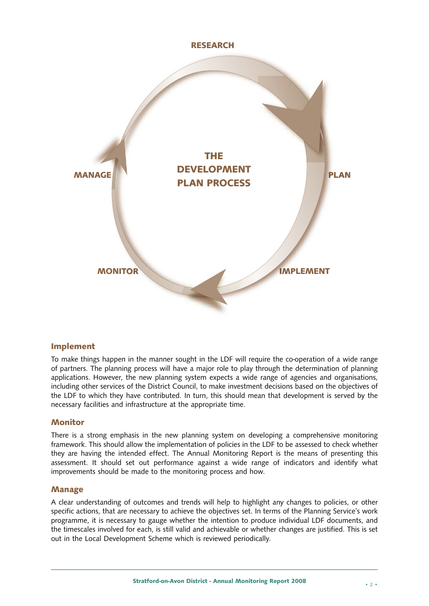

# **Implement**

To make things happen in the manner sought in the LDF will require the co-operation of a wide range of partners. The planning process will have a major role to play through the determination of planning applications. However, the new planning system expects a wide range of agencies and organisations, including other services of the District Council, to make investment decisions based on the objectives of the LDF to which they have contributed. In turn, this should mean that development is served by the necessary facilities and infrastructure at the appropriate time.

#### **Monitor**

There is a strong emphasis in the new planning system on developing a comprehensive monitoring framework. This should allow the implementation of policies in the LDF to be assessed to check whether they are having the intended effect. The Annual Monitoring Report is the means of presenting this assessment. It should set out performance against a wide range of indicators and identify what improvements should be made to the monitoring process and how.

#### **Manage**

A clear understanding of outcomes and trends will help to highlight any changes to policies, or other specific actions, that are necessary to achieve the objectives set. In terms of the Planning Service's work programme, it is necessary to gauge whether the intention to produce individual LDF documents, and the timescales involved for each, is still valid and achievable or whether changes are justified. This is set out in the Local Development Scheme which is reviewed periodically.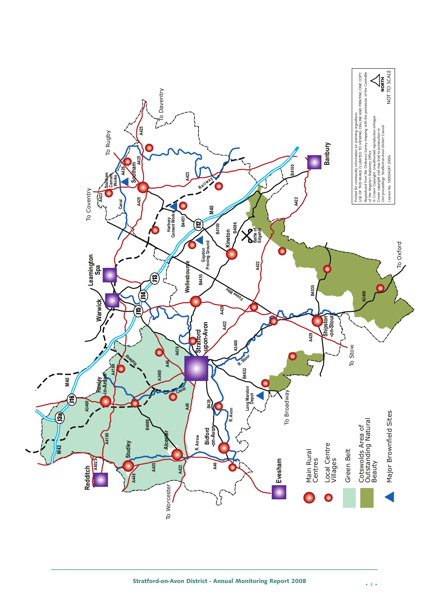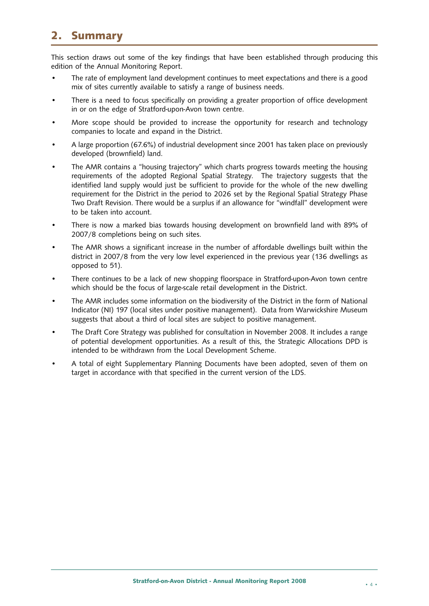# **2. Summary**

This section draws out some of the key findings that have been established through producing this edition of the Annual Monitoring Report.

- The rate of employment land development continues to meet expectations and there is a good mix of sites currently available to satisfy a range of business needs.
- There is a need to focus specifically on providing a greater proportion of office development in or on the edge of Stratford-upon-Avon town centre.
- More scope should be provided to increase the opportunity for research and technology companies to locate and expand in the District.
- A large proportion (67.6%) of industrial development since 2001 has taken place on previously developed (brownfield) land.
- The AMR contains a "housing trajectory" which charts progress towards meeting the housing requirements of the adopted Regional Spatial Strategy. The trajectory suggests that the identified land supply would just be sufficient to provide for the whole of the new dwelling requirement for the District in the period to 2026 set by the Regional Spatial Strategy Phase Two Draft Revision. There would be a surplus if an allowance for "windfall" development were to be taken into account.
- There is now a marked bias towards housing development on brownfield land with 89% of 2007/8 completions being on such sites.
- The AMR shows a significant increase in the number of affordable dwellings built within the district in 2007/8 from the very low level experienced in the previous year (136 dwellings as opposed to 51).
- There continues to be a lack of new shopping floorspace in Stratford-upon-Avon town centre which should be the focus of large-scale retail development in the District.
- The AMR includes some information on the biodiversity of the District in the form of National Indicator (NI) 197 (local sites under positive management). Data from Warwickshire Museum suggests that about a third of local sites are subject to positive management.
- The Draft Core Strategy was published for consultation in November 2008. It includes a range of potential development opportunities. As a result of this, the Strategic Allocations DPD is intended to be withdrawn from the Local Development Scheme.
- A total of eight Supplementary Planning Documents have been adopted, seven of them on target in accordance with that specified in the current version of the LDS.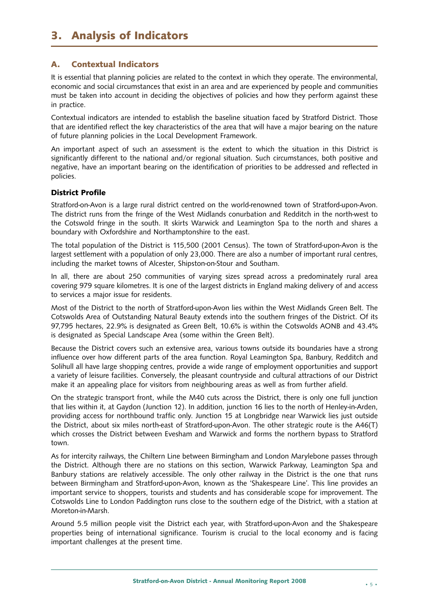# **3. Analysis of Indicators**

# **A. Contextual Indicators**

It is essential that planning policies are related to the context in which they operate. The environmental, economic and social circumstances that exist in an area and are experienced by people and communities must be taken into account in deciding the objectives of policies and how they perform against these in practice.

Contextual indicators are intended to establish the baseline situation faced by Stratford District. Those that are identified reflect the key characteristics of the area that will have a major bearing on the nature of future planning policies in the Local Development Framework.

An important aspect of such an assessment is the extent to which the situation in this District is significantly different to the national and/or regional situation. Such circumstances, both positive and negative, have an important bearing on the identification of priorities to be addressed and reflected in policies.

# **District Profile**

Stratford-on-Avon is a large rural district centred on the world-renowned town of Stratford-upon-Avon. The district runs from the fringe of the West Midlands conurbation and Redditch in the north-west to the Cotswold fringe in the south. It skirts Warwick and Leamington Spa to the north and shares a boundary with Oxfordshire and Northamptonshire to the east.

The total population of the District is 115,500 (2001 Census). The town of Stratford-upon-Avon is the largest settlement with a population of only 23,000. There are also a number of important rural centres, including the market towns of Alcester, Shipston-on-Stour and Southam.

In all, there are about 250 communities of varying sizes spread across a predominately rural area covering 979 square kilometres. It is one of the largest districts in England making delivery of and access to services a major issue for residents.

Most of the District to the north of Stratford-upon-Avon lies within the West Midlands Green Belt. The Cotswolds Area of Outstanding Natural Beauty extends into the southern fringes of the District. Of its 97,795 hectares, 22.9% is designated as Green Belt, 10.6% is within the Cotswolds AONB and 43.4% is designated as Special Landscape Area (some within the Green Belt).

Because the District covers such an extensive area, various towns outside its boundaries have a strong influence over how different parts of the area function. Royal Leamington Spa, Banbury, Redditch and Solihull all have large shopping centres, provide a wide range of employment opportunities and support a variety of leisure facilities. Conversely, the pleasant countryside and cultural attractions of our District make it an appealing place for visitors from neighbouring areas as well as from further afield.

On the strategic transport front, while the M40 cuts across the District, there is only one full junction that lies within it, at Gaydon (Junction 12). In addition, junction 16 lies to the north of Henley-in-Arden, providing access for northbound traffic only. Junction 15 at Longbridge near Warwick lies just outside the District, about six miles north-east of Stratford-upon-Avon. The other strategic route is the A46(T) which crosses the District between Evesham and Warwick and forms the northern bypass to Stratford town.

As for intercity railways, the Chiltern Line between Birmingham and London Marylebone passes through the District. Although there are no stations on this section, Warwick Parkway, Leamington Spa and Banbury stations are relatively accessible. The only other railway in the District is the one that runs between Birmingham and Stratford-upon-Avon, known as the 'Shakespeare Line'. This line provides an important service to shoppers, tourists and students and has considerable scope for improvement. The Cotswolds Line to London Paddington runs close to the southern edge of the District, with a station at Moreton-in-Marsh.

Around 5.5 million people visit the District each year, with Stratford-upon-Avon and the Shakespeare properties being of international significance. Tourism is crucial to the local economy and is facing important challenges at the present time.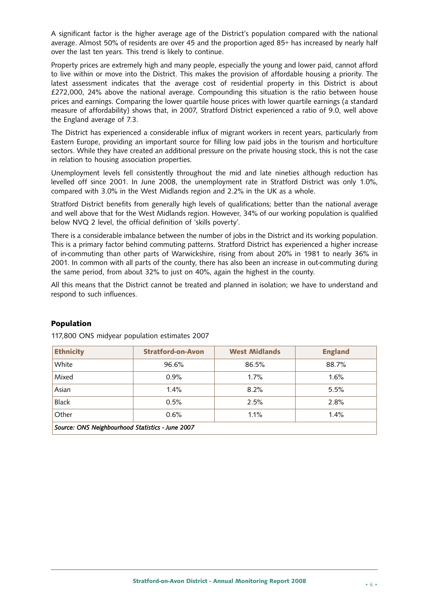A significant factor is the higher average age of the District's population compared with the national average. Almost 50% of residents are over 45 and the proportion aged 85+ has increased by nearly half over the last ten years. This trend is likely to continue.

Property prices are extremely high and many people, especially the young and lower paid, cannot afford to live within or move into the District. This makes the provision of affordable housing a priority. The latest assessment indicates that the average cost of residential property in this District is about £272,000, 24% above the national average. Compounding this situation is the ratio between house prices and earnings. Comparing the lower quartile house prices with lower quartile earnings (a standard measure of affordability) shows that, in 2007, Stratford District experienced a ratio of 9.0, well above the England average of 7.3.

The District has experienced a considerable influx of migrant workers in recent years, particularly from Eastern Europe, providing an important source for filling low paid jobs in the tourism and horticulture sectors. While they have created an additional pressure on the private housing stock, this is not the case in relation to housing association properties.

Unemployment levels fell consistently throughout the mid and late nineties although reduction has levelled off since 2001. In June 2008, the unemployment rate in Stratford District was only 1.0%, compared with 3.0% in the West Midlands region and 2.2% in the UK as a whole.

Stratford District benefits from generally high levels of qualifications; better than the national average and well above that for the West Midlands region. However, 34% of our working population is qualified below NVQ 2 level, the official definition of 'skills poverty'.

There is a considerable imbalance between the number of jobs in the District and its working population. This is a primary factor behind commuting patterns. Stratford District has experienced a higher increase of in-commuting than other parts of Warwickshire, rising from about 20% in 1981 to nearly 36% in 2001. In common with all parts of the county, there has also been an increase in out-commuting during the same period, from about 32% to just on 40%, again the highest in the county.

All this means that the District cannot be treated and planned in isolation; we have to understand and respond to such influences.

| <b>Ethnicity</b>                                 | <b>Stratford-on-Avon</b> | <b>West Midlands</b> | <b>England</b> |  |  |
|--------------------------------------------------|--------------------------|----------------------|----------------|--|--|
| White                                            | 96.6%                    | 86.5%                | 88.7%          |  |  |
| Mixed                                            | 0.9%                     | 1.7%                 | 1.6%           |  |  |
| Asian                                            | 1.4%                     | 8.2%                 | 5.5%           |  |  |
| <b>Black</b>                                     | 0.5%                     | 2.5%                 | 2.8%           |  |  |
| Other                                            | 0.6%                     | 1.1%                 | 1.4%           |  |  |
| Source: ONS Neighbourhood Statistics - June 2007 |                          |                      |                |  |  |

# **Population**

117,800 ONS midyear population estimates 2007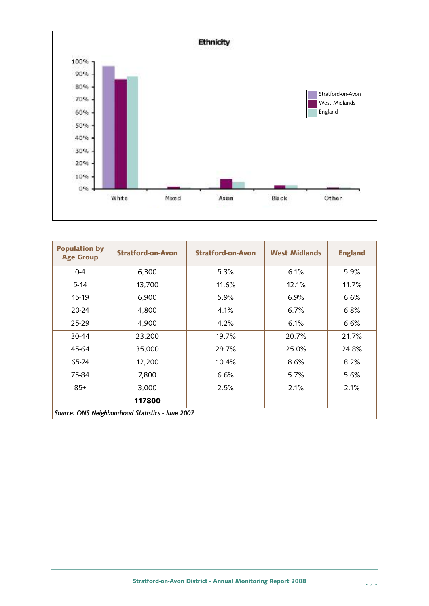

| <b>Population by</b><br><b>Age Group</b> | <b>Stratford-on-Avon</b>                         | <b>Stratford-on-Avon</b> | <b>West Midlands</b> | <b>England</b> |
|------------------------------------------|--------------------------------------------------|--------------------------|----------------------|----------------|
| $0 - 4$                                  | 6,300                                            | 5.3%                     | 6.1%                 | 5.9%           |
| $5 - 14$                                 | 13,700                                           | 11.6%                    | 12.1%                | 11.7%          |
| 15-19                                    | 6,900                                            | 5.9%                     | 6.9%                 | 6.6%           |
| 20-24                                    | 4,800                                            | 4.1%                     | 6.7%                 | 6.8%           |
| 25-29                                    | 4,900                                            | 4.2%                     | 6.1%                 | 6.6%           |
| 30-44                                    | 23,200                                           | 19.7%                    | 20.7%                | 21.7%          |
| 45-64                                    | 35,000                                           | 29.7%                    | 25.0%                | 24.8%          |
| 65-74                                    | 12,200                                           | 10.4%                    | 8.6%                 | 8.2%           |
| 75-84                                    | 7,800                                            | 6.6%                     | $5.7\%$              | 5.6%           |
| $85+$                                    | 3,000                                            | 2.5%                     | 2.1%                 | 2.1%           |
|                                          | 117800                                           |                          |                      |                |
|                                          | Source: ONS Neighbourhood Statistics - June 2007 |                          |                      |                |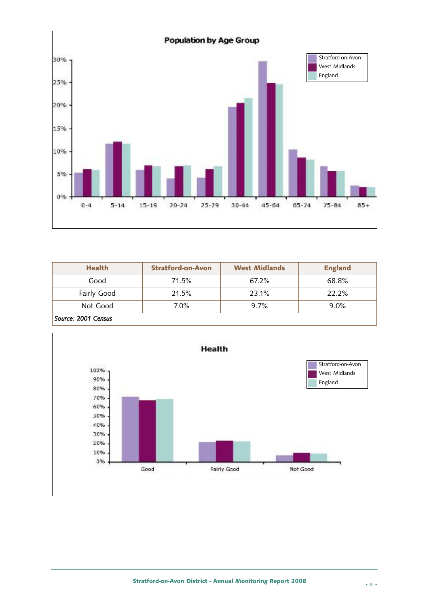

| <b>Health</b>       | <b>Stratford-on-Avon</b> | <b>West Midlands</b> | <b>England</b> |
|---------------------|--------------------------|----------------------|----------------|
| Good                | 71.5%                    | 67.2%                | 68.8%          |
| Fairly Good         | 21.5%                    | 23.1%                | 22.2%          |
| Not Good            | 7.0%                     | 9.7%                 | $9.0\%$        |
| Source: 2001 Census |                          |                      |                |

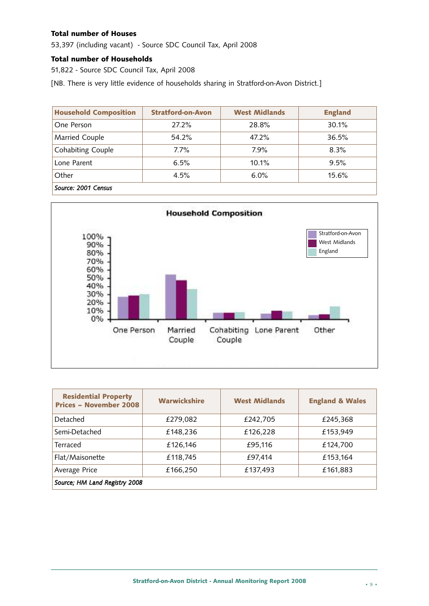#### **Total number of Houses**

53,397 (including vacant) - Source SDC Council Tax, April 2008

#### **Total number of Households**

51,822 - Source SDC Council Tax, April 2008

[NB. There is very little evidence of households sharing in Stratford-on-Avon District.]

| <b>Household Composition</b> | <b>Stratford-on-Avon</b> | <b>West Midlands</b> | <b>England</b> |
|------------------------------|--------------------------|----------------------|----------------|
| One Person                   | 27.2%                    | 28.8%                | 30.1%          |
| Married Couple               | 54.2%                    | 47.2%                | 36.5%          |
| <b>Cohabiting Couple</b>     | 7.7%                     | 7.9%                 | $8.3\%$        |
| Lone Parent                  | 6.5%                     | 10.1%                | 9.5%           |
| Other                        | 4.5%                     | 6.0%                 | 15.6%          |
| Source: 2001 Census          |                          |                      |                |



| <b>Residential Property</b><br><b>Prices - November 2008</b> | <b>Warwickshire</b> | <b>West Midlands</b> | <b>England &amp; Wales</b> |  |  |
|--------------------------------------------------------------|---------------------|----------------------|----------------------------|--|--|
| Detached                                                     | £279,082            | £242,705             | £245,368                   |  |  |
| Semi-Detached                                                | £148,236            | £126,228             | £153,949                   |  |  |
| Terraced                                                     | £126,146            | £95,116              | £124,700                   |  |  |
| Flat/Maisonette                                              | £118,745            | £97,414              | £153,164                   |  |  |
| Average Price                                                | £166,250            | £137,493             | £161,883                   |  |  |
| Source; HM Land Registry 2008                                |                     |                      |                            |  |  |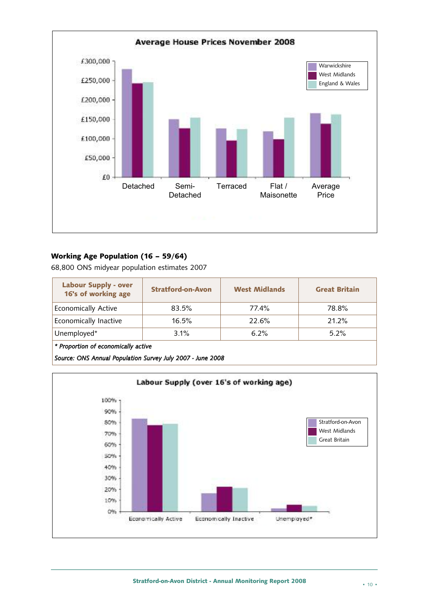

# **Working Age Population (16 – 59/64)**

68,800 ONS midyear population estimates 2007

| <b>Labour Supply - over</b><br>16's of working age | <b>Stratford-on-Avon</b> | <b>West Midlands</b> | <b>Great Britain</b> |  |  |
|----------------------------------------------------|--------------------------|----------------------|----------------------|--|--|
| <b>Economically Active</b>                         | 83.5%                    | 77.4%                | 78.8%                |  |  |
| Economically Inactive                              | 16.5%                    | 22.6%                | 21.2%                |  |  |
| Unemployed*                                        | 3.1%                     | 6.2%                 | $5.2\%$              |  |  |
| * Proportion of economically active                |                          |                      |                      |  |  |

*Source: ONS Annual Population Survey July 2007 - June 2008*

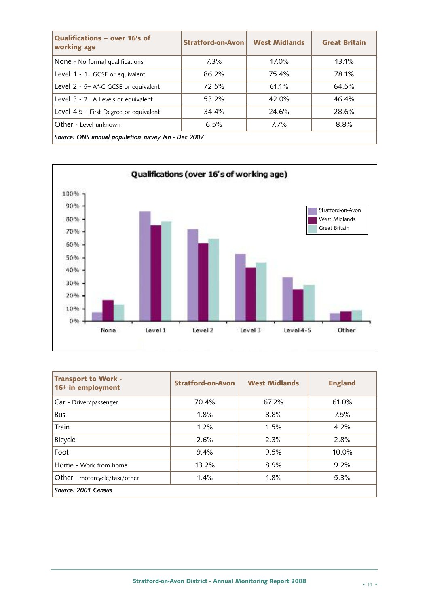| Qualifications - over 16's of<br>working age        | <b>Stratford-on-Avon</b> | <b>West Midlands</b> | <b>Great Britain</b> |  |  |  |
|-----------------------------------------------------|--------------------------|----------------------|----------------------|--|--|--|
| None - No formal qualifications                     | $7.3\%$                  | $17.0\%$             | 13.1%                |  |  |  |
| Level 1 - 1+ GCSE or equivalent                     | 86.2%                    | 75.4%                | 78.1%                |  |  |  |
| Level 2 - 5+ A*-C GCSE or equivalent                | 72.5%                    | 61.1%                | 64.5%                |  |  |  |
| Level $3 - 2+$ A Levels or equivalent               | 53.2%                    | 42.0%                | 46.4%                |  |  |  |
| Level 4-5 - First Degree or equivalent              | 34.4%                    | 24.6%                | 28.6%                |  |  |  |
| Other - Level unknown                               | 6.5%                     | 7.7%                 | 8.8%                 |  |  |  |
| Source: ONS annual population survey Jan - Dec 2007 |                          |                      |                      |  |  |  |



| <b>Transport to Work -</b><br>16+ in employment | <b>Stratford-on-Avon</b> | <b>West Midlands</b> | <b>England</b> |
|-------------------------------------------------|--------------------------|----------------------|----------------|
| Car - Driver/passenger                          | 70.4%                    | 67.2%                | 61.0%          |
| <b>Bus</b>                                      | 1.8%                     | 8.8%                 | 7.5%           |
| Train                                           | 1.2%                     | 1.5%                 | 4.2%           |
| Bicycle                                         | 2.6%                     | 2.3%                 | 2.8%           |
| Foot                                            | 9.4%                     | 9.5%                 | $10.0\%$       |
| Home - Work from home                           | 13.2%                    | 8.9%                 | 9.2%           |
| Other - motorcycle/taxi/other                   | 1.4%                     | 1.8%                 | 5.3%           |
| Source: 2001 Census                             |                          |                      |                |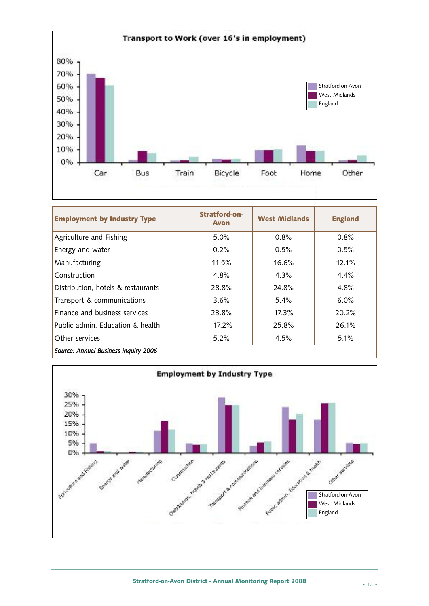

| <b>Employment by Industry Type</b>   | Stratford-on-<br><b>Avon</b> | <b>West Midlands</b> | <b>England</b> |  |
|--------------------------------------|------------------------------|----------------------|----------------|--|
| Agriculture and Fishing              | $5.0\%$                      | 0.8%                 | 0.8%           |  |
| Energy and water                     | 0.2%                         | 0.5%                 | 0.5%           |  |
| Manufacturing                        | 11.5%                        | 16.6%                | 12.1%          |  |
| Construction                         | 4.8%                         | 4.3%                 | 4.4%           |  |
| Distribution, hotels & restaurants   | 28.8%                        | 24.8%                | 4.8%           |  |
| Transport & communications           | 3.6%                         | 5.4%                 | 6.0%           |  |
| Finance and business services        | 23.8%                        | 17.3%                | 20.2%          |  |
| Public admin. Education & health     | 17.2%                        | 25.8%                | 26.1%          |  |
| Other services                       | 5.2%                         | 4.5%                 | 5.1%           |  |
| Source: Annual Business Inquiry 2006 |                              |                      |                |  |

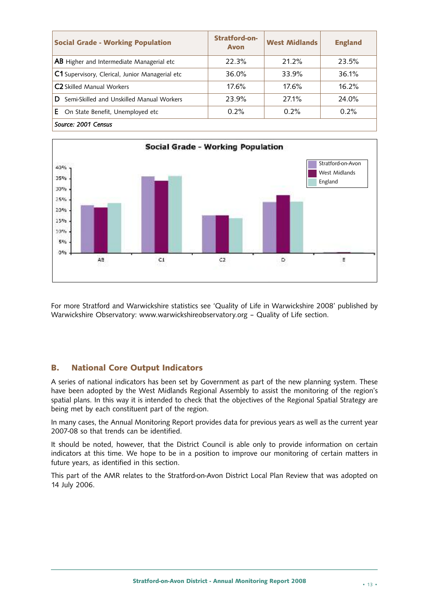| <b>Social Grade - Working Population</b>         | Stratford-on-<br><b>Avon</b> | <b>West Midlands</b> | <b>England</b> |
|--------------------------------------------------|------------------------------|----------------------|----------------|
| <b>AB</b> Higher and Intermediate Managerial etc | 22.3%                        | 21.2%                | 23.5%          |
| C1 Supervisory, Clerical, Junior Managerial etc  | 36.0%                        | 33.9%                | 36.1%          |
| <b>C2</b> Skilled Manual Workers                 | 17.6%                        | 17.6%                | 16.2%          |
| Semi-Skilled and Unskilled Manual Workers<br>D   | 23.9%                        | 27.1%                | 24.0%          |
| Е.<br>On State Benefit, Unemployed etc           | 0.2%                         | 0.2%                 | 0.2%           |
| Source: 2001 Census                              |                              |                      |                |



For more Stratford and Warwickshire statistics see 'Quality of Life in Warwickshire 2008' published by Warwickshire Observatory: www.warwickshireobservatory.org – Quality of Life section.

# **B. National Core Output Indicators**

A series of national indicators has been set by Government as part of the new planning system. These have been adopted by the West Midlands Regional Assembly to assist the monitoring of the region's spatial plans. In this way it is intended to check that the objectives of the Regional Spatial Strategy are being met by each constituent part of the region.

In many cases, the Annual Monitoring Report provides data for previous years as well as the current year 2007-08 so that trends can be identified.

It should be noted, however, that the District Council is able only to provide information on certain indicators at this time. We hope to be in a position to improve our monitoring of certain matters in future years, as identified in this section.

This part of the AMR relates to the Stratford-on-Avon District Local Plan Review that was adopted on 14 July 2006.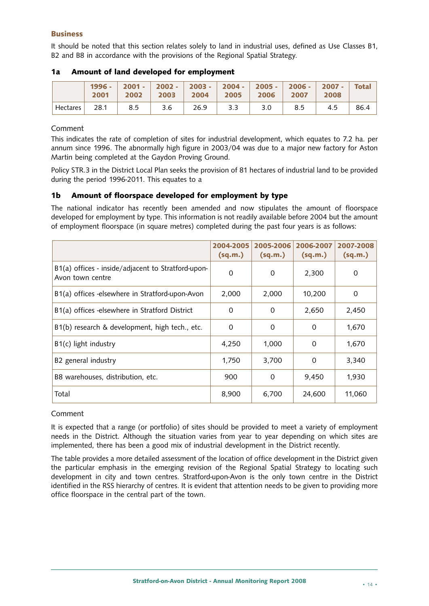#### **Business**

It should be noted that this section relates solely to land in industrial uses, defined as Use Classes B1, B2 and B8 in accordance with the provisions of the Regional Spatial Strategy.

|          |      |     | 1996 - $ 2001 -  2002 -  2003 -  2004 -  2005 -  2006 -  2007 -  Total$<br>2001 2002 2003 2004 2005 2006 2007 2008 |     |     |     |      |
|----------|------|-----|--------------------------------------------------------------------------------------------------------------------|-----|-----|-----|------|
| Hectares | 28.1 | 8.5 | $3.6$   26.9   3.3                                                                                                 | 3.0 | 8.5 | 4.5 | 86.4 |

#### **1a Amount of land developed for employment**

#### Comment

This indicates the rate of completion of sites for industrial development, which equates to 7.2 ha. per annum since 1996. The abnormally high figure in 2003/04 was due to a major new factory for Aston Martin being completed at the Gaydon Proving Ground.

Policy STR.3 in the District Local Plan seeks the provision of 81 hectares of industrial land to be provided during the period 1996-2011. This equates to a

# **1b Amount of floorspace developed for employment by type**

The national indicator has recently been amended and now stipulates the amount of floorspace developed for employment by type. This information is not readily available before 2004 but the amount of employment floorspace (in square metres) completed during the past four years is as follows:

|                                                                        | 2004-2005<br>(sq.m.) | 2005-2006<br>(sq.m.) | 2006-2007<br>(sq.m.) | 2007-2008<br>(sq.m.) |
|------------------------------------------------------------------------|----------------------|----------------------|----------------------|----------------------|
| B1(a) offices - inside/adjacent to Stratford-upon-<br>Avon town centre | 0                    | $\Omega$             | 2,300                | 0                    |
| B1(a) offices -elsewhere in Stratford-upon-Avon                        | 2,000                | 2,000                | 10,200               | 0                    |
| B1(a) offices -elsewhere in Stratford District                         | $\Omega$             | $\Omega$             | 2,650                | 2,450                |
| B1(b) research & development, high tech., etc.                         | $\Omega$             | $\Omega$             | 0                    | 1,670                |
| $B1(c)$ light industry                                                 | 4,250                | 1.000                | 0                    | 1,670                |
| B2 general industry                                                    | 1,750                | 3,700                | 0                    | 3,340                |
| B8 warehouses, distribution, etc.                                      | 900                  | 0                    | 9,450                | 1,930                |
| Total                                                                  | 8,900                | 6,700                | 24,600               | 11,060               |

# Comment

It is expected that a range (or portfolio) of sites should be provided to meet a variety of employment needs in the District. Although the situation varies from year to year depending on which sites are implemented, there has been a good mix of industrial development in the District recently.

The table provides a more detailed assessment of the location of office development in the District given the particular emphasis in the emerging revision of the Regional Spatial Strategy to locating such development in city and town centres. Stratford-upon-Avon is the only town centre in the District identified in the RSS hierarchy of centres. It is evident that attention needs to be given to providing more office floorspace in the central part of the town.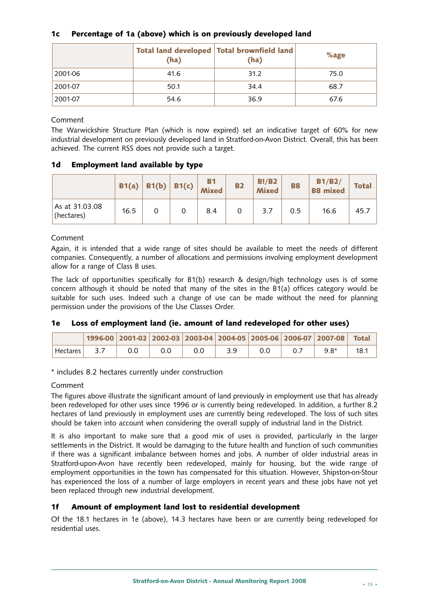# **1c Percentage of 1a (above) which is on previously developed land**

|         | (ha) | Total land developed Total brownfield land<br>(ha) | %age |
|---------|------|----------------------------------------------------|------|
| 2001-06 | 41.6 | 31.2                                               | 75.0 |
| 2001-07 | 50.1 | 34.4                                               | 68.7 |
| 2001-07 | 54.6 | 36.9                                               | 67.6 |

Comment

The Warwickshire Structure Plan (which is now expired) set an indicative target of 60% for new industrial development on previously developed land in Stratford-on-Avon District. Overall, this has been achieved. The current RSS does not provide such a target.

# **1d Employment land available by type**

|                              | B1(a) |   | B1(b) B1(c) | <b>B1</b><br><b>Mixed</b> | <b>B2</b> | B!/B2<br><b>Mixed</b> | <b>B8</b> | B1/B2/<br><b>B8 mixed</b> | <b>Total</b> |
|------------------------------|-------|---|-------------|---------------------------|-----------|-----------------------|-----------|---------------------------|--------------|
| As at 31.03.08<br>(hectares) | 16.5  | 0 |             | 8.4                       |           | 3.7                   | 0.5       | 16.6                      | 45.7         |

#### Comment

Again, it is intended that a wide range of sites should be available to meet the needs of different companies. Consequently, a number of allocations and permissions involving employment development allow for a range of Class B uses.

The lack of opportunities specifically for B1(b) research & design/high technology uses is of some concern although it should be noted that many of the sites in the B1(a) offices category would be suitable for such uses. Indeed such a change of use can be made without the need for planning permission under the provisions of the Use Classes Order.

#### **1e Loss of employment land (ie. amount of land redeveloped for other uses)**

|                                   |  |     |  | 1996-00 2001-02 2002-03 2003-04 2004-05 2005-06 2006-07 2007-08 Total |      |
|-----------------------------------|--|-----|--|-----------------------------------------------------------------------|------|
| $\overline{\phantom{a}}$ Hectares |  | 0.0 |  | $9.8*$                                                                | 18.1 |

\* includes 8.2 hectares currently under construction

#### Comment

The figures above illustrate the significant amount of land previously in employment use that has already been redeveloped for other uses since 1996 or is currently being redeveloped. In addition, a further 8.2 hectares of land previously in employment uses are currently being redeveloped. The loss of such sites should be taken into account when considering the overall supply of industrial land in the District.

It is also important to make sure that a good mix of uses is provided, particularly in the larger settlements in the District. It would be damaging to the future health and function of such communities if there was a significant imbalance between homes and jobs. A number of older industrial areas in Stratford-upon-Avon have recently been redeveloped, mainly for housing, but the wide range of employment opportunities in the town has compensated for this situation. However, Shipston-on-Stour has experienced the loss of a number of large employers in recent years and these jobs have not yet been replaced through new industrial development.

#### **1f Amount of employment land lost to residential development**

Of the 18.1 hectares in 1e (above), 14.3 hectares have been or are currently being redeveloped for residential uses.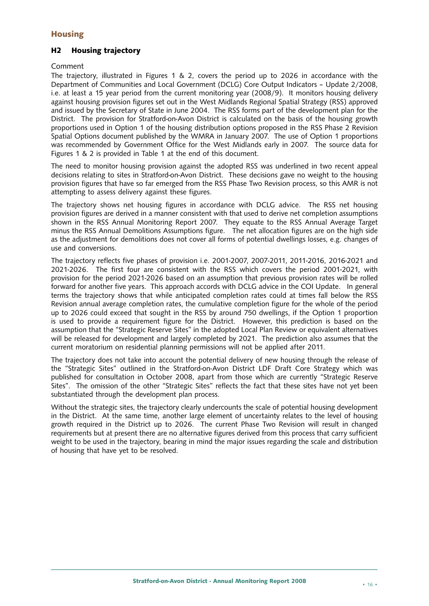# **Housing**

#### **H2 Housing trajectory**

#### Comment

The trajectory, illustrated in Figures 1 & 2, covers the period up to 2026 in accordance with the Department of Communities and Local Government (DCLG) Core Output Indicators – Update 2/2008, i.e. at least a 15 year period from the current monitoring year (2008/9). It monitors housing delivery against housing provision figures set out in the West Midlands Regional Spatial Strategy (RSS) approved and issued by the Secretary of State in June 2004. The RSS forms part of the development plan for the District. The provision for Stratford-on-Avon District is calculated on the basis of the housing growth proportions used in Option 1 of the housing distribution options proposed in the RSS Phase 2 Revision Spatial Options document published by the WMRA in January 2007. The use of Option 1 proportions was recommended by Government Office for the West Midlands early in 2007. The source data for Figures 1 & 2 is provided in Table 1 at the end of this document.

The need to monitor housing provision against the adopted RSS was underlined in two recent appeal decisions relating to sites in Stratford-on-Avon District. These decisions gave no weight to the housing provision figures that have so far emerged from the RSS Phase Two Revision process, so this AMR is not attempting to assess delivery against these figures.

The trajectory shows net housing figures in accordance with DCLG advice. The RSS net housing provision figures are derived in a manner consistent with that used to derive net completion assumptions shown in the RSS Annual Monitoring Report 2007. They equate to the RSS Annual Average Target minus the RSS Annual Demolitions Assumptions figure. The net allocation figures are on the high side as the adjustment for demolitions does not cover all forms of potential dwellings losses, e.g. changes of use and conversions.

The trajectory reflects five phases of provision i.e. 2001-2007, 2007-2011, 2011-2016, 2016-2021 and 2021-2026. The first four are consistent with the RSS which covers the period 2001-2021, with provision for the period 2021-2026 based on an assumption that previous provision rates will be rolled forward for another five years. This approach accords with DCLG advice in the COI Update. In general terms the trajectory shows that while anticipated completion rates could at times fall below the RSS Revision annual average completion rates, the cumulative completion figure for the whole of the period up to 2026 could exceed that sought in the RSS by around 750 dwellings, if the Option 1 proportion is used to provide a requirement figure for the District. However, this prediction is based on the assumption that the "Strategic Reserve Sites" in the adopted Local Plan Review or equivalent alternatives will be released for development and largely completed by 2021. The prediction also assumes that the current moratorium on residential planning permissions will not be applied after 2011.

The trajectory does not take into account the potential delivery of new housing through the release of the "Strategic Sites" outlined in the Stratford-on-Avon District LDF Draft Core Strategy which was published for consultation in October 2008, apart from those which are currently "Strategic Reserve Sites". The omission of the other "Strategic Sites" reflects the fact that these sites have not yet been substantiated through the development plan process.

Without the strategic sites, the trajectory clearly undercounts the scale of potential housing development in the District. At the same time, another large element of uncertainty relates to the level of housing growth required in the District up to 2026. The current Phase Two Revision will result in changed requirements but at present there are no alternative figures derived from this process that carry sufficient weight to be used in the trajectory, bearing in mind the major issues regarding the scale and distribution of housing that have yet to be resolved.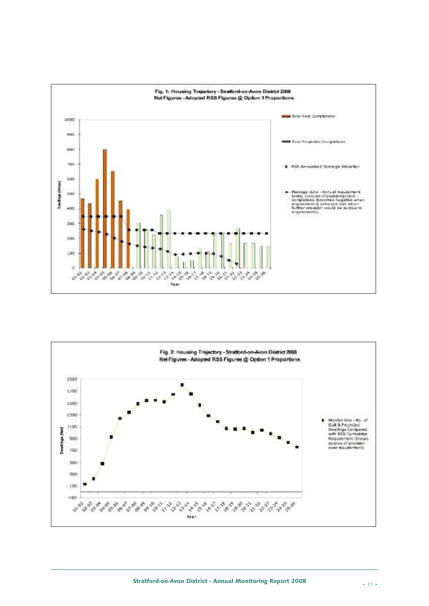

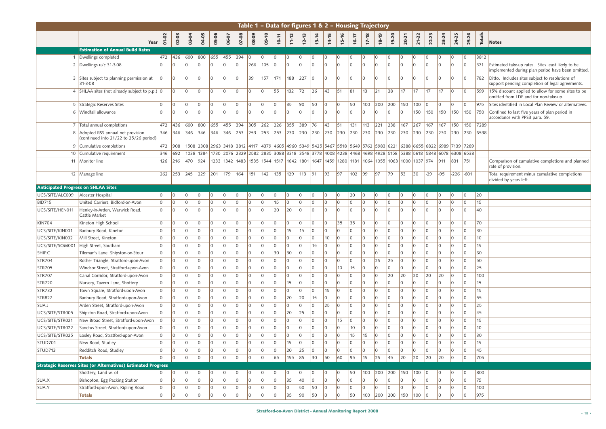|                                            | Table 1 - Data for figures 1 & 2 - Housing Trajectory                                 |                |                |                               |                      |                |                |                       |                |                                                                |                   |                  |                 |                       |                            |                |                      |                |                                                                                                                                          |                              |                            |                 |                                           |                            |                            |                                  |                 |                                                                                                        |
|--------------------------------------------|---------------------------------------------------------------------------------------|----------------|----------------|-------------------------------|----------------------|----------------|----------------|-----------------------|----------------|----------------------------------------------------------------|-------------------|------------------|-----------------|-----------------------|----------------------------|----------------|----------------------|----------------|------------------------------------------------------------------------------------------------------------------------------------------|------------------------------|----------------------------|-----------------|-------------------------------------------|----------------------------|----------------------------|----------------------------------|-----------------|--------------------------------------------------------------------------------------------------------|
|                                            |                                                                                       |                |                |                               |                      | 05-06          |                |                       |                |                                                                |                   |                  |                 |                       |                            | 15-16          |                      |                |                                                                                                                                          | 19-20                        |                            |                 |                                           |                            |                            | 25-26                            | <b>Totals</b>   |                                                                                                        |
|                                            | <b>Year</b>                                                                           | 01-02          | $02 - 03$      | 03-04                         | 04-05                |                | 06-07          | 07-08                 | 08-09          | 09-10                                                          | 10-11             | $11 - 12$        | $12 - 13$       | $13 - 14$             | $14 - 15$                  |                | 16-17                | $17 - 18$      | 18-19                                                                                                                                    |                              | 20-21                      | $21 - 22$       | $22 - 23$                                 | 23-24                      | 24-25                      |                                  |                 | <b>Notes</b>                                                                                           |
|                                            | <b>Estimation of Annual Build Rates</b>                                               |                |                |                               |                      |                |                |                       |                |                                                                |                   |                  |                 |                       |                            |                |                      |                |                                                                                                                                          |                              |                            |                 |                                           |                            |                            |                                  |                 |                                                                                                        |
|                                            | 1 Dwellings completed                                                                 | 472            | 436            | 600                           | 800                  | 655            | 455            | 394                   | $\overline{0}$ | $ 0\rangle$                                                    | $ 0\rangle$       | 10               | $\overline{0}$  | $\overline{0}$        | $\overline{0}$             | $\overline{0}$ | 10                   | 0              | $\overline{0}$                                                                                                                           | 10                           | $ 0\rangle$                | I٥              | $\overline{0}$                            | $ 0\rangle$                | 0                          | $ 0\rangle$                      | 3812            |                                                                                                        |
|                                            | 2 Dwellings $u/c$ 31-3-08                                                             | $\Omega$       | <u>l O</u>     | $\overline{0}$                | $\overline{0}$       | I٥             | l O            | l O                   | 266            | 105                                                            | $\overline{0}$    | $\Omega$         | $\overline{0}$  | l O                   | $\Omega$                   | $\overline{0}$ | l n                  | $\Omega$       | l O                                                                                                                                      | $\Omega$                     | l O                        | l O             | <u>l O</u>                                | $\overline{0}$             | $\Omega$                   | $\overline{0}$                   | $371$           | Estimated take-up rates. Sites least likely to be<br>implemented during plan period have been omitted. |
|                                            | 3 Sites subject to planning permission at<br>$31 - 3 - 08$                            | $\Omega$       | l O            | $\overline{0}$                | $\overline{0}$       | I٥             | $\overline{0}$ | $ 0\rangle$           | 39             |                                                                |                   | 157 171 188 227  |                 | $ 0\rangle$           | <u>lo</u>                  | $\overline{0}$ | $\overline{0}$       | $\overline{0}$ | $\overline{0}$                                                                                                                           | $\overline{0}$               | $\overline{0}$             | l O             | l O                                       | $ 0\rangle$                | $\overline{0}$             | $\overline{0}$                   |                 | 782 Ditto. Includes sites subject to resolutions of<br>support pending completion of legal agreements. |
|                                            | 4 SHLAA sites (not already subject to p.p.) $ 0 $                                     |                | l O            | $ 0\rangle$                   | $\overline{0}$       | 0              | $\overline{0}$ | $\overline{0}$        | 10             | 10                                                             | 55                | $132$ 72         |                 | 26                    | 43                         | 51             | 81                   | $ 13\rangle$   | 21                                                                                                                                       | $38$                         | 17                         | 17              | $ 17\rangle$                              | 17                         | $ 0\rangle$                | $ 0\rangle$                      | 599             | 15% discount applied to allow for some sites to be<br>omitted from LDF and for non-take-up.            |
|                                            | 5 Strategic Reserves Sites                                                            | $\Omega$       | $\overline{0}$ | $ 0\rangle$                   | $\overline{0}$       | $\overline{0}$ | $\overline{0}$ | $\overline{0}$        | $\overline{0}$ | $\overline{0}$                                                 | $\overline{0}$    | 35               | 90 <sup>°</sup> | 50                    | $ 0\rangle$                | $ 0\rangle$    | 50                   | 100            | $\vert$ 200 $\vert$ 200 $\vert$ 150                                                                                                      |                              |                            | $100$ 0         |                                           | $ 0\rangle$                | $\overline{0}$             | $\overline{0}$                   | 975             | Sites identified in Local Plan Review or alternatives.                                                 |
|                                            | 6 Windfall allowance                                                                  | $\Omega$       | $\overline{0}$ | $ 0\rangle$                   | $\overline{0}$       | I٥             | $\overline{0}$ | l O                   | $\overline{0}$ | $\overline{0}$                                                 | $\overline{0}$    | <u>l O</u>       | $\overline{0}$  | $\overline{0}$        | l 0                        | $\overline{0}$ | $\overline{0}$       | $\overline{0}$ | l O                                                                                                                                      | $\overline{0}$               | $ 0\rangle$                | 150             | $150$   150                               |                            |                            |                                  |                 | 150 150 750 Confined to last five years of plan period in<br>accordance with PPS3 para. 59.            |
|                                            | 7 Total annual completions                                                            | 472            | 436            | 600                           | 800                  |                |                | 655 455 394           |                | 305 262 226 355 389 76                                         |                   |                  |                 |                       | $ 43\rangle$               | $\vert$ 51     | $ 131\rangle$        | $ 113\rangle$  | $221$ 238 167                                                                                                                            |                              |                            | 267             | 167                                       | 167                        | 150                        | 150 7289                         |                 |                                                                                                        |
|                                            | 8 Adopted RSS annual net provision                                                    |                |                |                               |                      |                |                |                       |                |                                                                |                   |                  |                 |                       |                            |                |                      |                |                                                                                                                                          |                              |                            |                 | $\vert 230 \vert 230 \vert 230 \vert 230$ |                            |                            | 230 6538                         |                 |                                                                                                        |
|                                            | (continued into 21/22 to 25/26 period)<br>9 Cumulative completions                    |                | 472 908        |                               |                      |                |                |                       |                |                                                                |                   |                  |                 |                       |                            |                |                      |                | 1508 2308 2963 3418 3812 4117 4379 4605 4960 5349 5425 5467 5518 5649 5762 5983 6221 6388 6655 6822 6989 7139 7289                       |                              |                            |                 |                                           |                            |                            |                                  |                 |                                                                                                        |
|                                            | 10 Cumulative requirement                                                             | 346            | 692            |                               |                      |                |                |                       |                |                                                                |                   |                  |                 |                       |                            |                |                      |                | 1038  1384  1730  2076  2329  2582  2835  3088  3318  3548  3778  4008  4238  4468  4698  4928  5158  5388  5618  5848  6078  6308  6538 |                              |                            |                 |                                           |                            |                            |                                  |                 |                                                                                                        |
|                                            | 11   Monitor line                                                                     | 126            | $216$ 470 924  |                               |                      |                |                |                       |                |                                                                |                   |                  |                 |                       |                            |                |                      |                | 1233  1342  1483  1535  1544  1517  1642  1801  1647  1459  1280  1181  1064  1055  1063  1000  1037  974  911                           |                              |                            |                 |                                           |                            | 831                        | $\vert 751$                      |                 | Comparison of cumulative completions and planned                                                       |
|                                            |                                                                                       |                |                |                               |                      |                |                |                       |                | 262  253  245  229  201  179  164  151  142  135  129  113  91 |                   |                  |                 |                       | 93                         | 97             | $102$ 99             |                | 97                                                                                                                                       | 79                           | 53                         | 30              | $-29$                                     | $-95$                      | $-226$ $-601$              |                                  |                 | rate of provision.<br>Total requirement minus cumulative completions                                   |
|                                            | 12   Manage line                                                                      |                |                |                               |                      |                |                |                       |                |                                                                |                   |                  |                 |                       |                            |                |                      |                |                                                                                                                                          |                              |                            |                 |                                           |                            |                            |                                  |                 | divided by years left.                                                                                 |
| <b>Anticipated Progress on SHLAA Sites</b> |                                                                                       |                |                |                               |                      |                |                |                       |                |                                                                |                   |                  |                 |                       |                            |                |                      |                |                                                                                                                                          |                              |                            |                 |                                           |                            |                            |                                  |                 |                                                                                                        |
| UCS/SITE/ALC009                            | Alcester Hospital                                                                     | l O            | l 0            | 10                            | $\overline{0}$       | l O            | I٥             | <b>0</b>              | ۱O             | $\overline{0}$                                                 | <b>0</b>          | l O              | 0               | $\overline{0}$        | $\Omega$                   | $ 0\rangle$    | 20                   | 0              | <u>  O</u>                                                                                                                               | ' O                          | $ 0\rangle$                |                 | $\overline{0}$                            | $ 0\rangle$                | $\Omega$                   | $ 0\rangle$                      | 20              |                                                                                                        |
| <b>BID715</b>                              | United Carriers, Bidford-on-Avon                                                      | $\overline{0}$ | l O            | $ 0\rangle$                   | $\overline{0}$       | $\overline{0}$ | $\overline{0}$ | l O                   | <u>  O</u>     | $\overline{0}$                                                 | 15                | l O              | $\overline{0}$  | $\overline{0}$        | l 0                        | $ 0\rangle$    | $\overline{0}$       | $\overline{0}$ | $\overline{0}$                                                                                                                           | $\overline{0}$               | $\overline{0}$             | l O             | 10                                        | $ 0\rangle$                | $\overline{0}$             | $\overline{0}$                   | 15              |                                                                                                        |
| UCS/SITE/HEN011                            | Henley-in-Arden, Warwick Road,<br>Cattle Market                                       | $\overline{0}$ | l O            | $\overline{0}$                | $\overline{0}$       | I٥             | $\overline{0}$ | l O                   | l O            | $\overline{0}$                                                 | 20                | 20               | $\overline{0}$  | $\overline{0}$        | $\Omega$                   | $\overline{0}$ | $\overline{0}$       | $\overline{0}$ | l O                                                                                                                                      | $\overline{0}$               | $\overline{0}$             | l O             | <u>l O</u>                                | $ 0\rangle$                | $\Omega$                   | $\overline{0}$                   | 40              |                                                                                                        |
| <b>KIN704</b>                              | Kineton High School                                                                   | l O            | $\overline{0}$ | $ 0\rangle$                   | $\overline{O}$       | l 0            | $\overline{0}$ | $ 0\rangle$           | <u>  O</u>     | $\overline{0}$                                                 | $ 0\rangle$       | <u>l O</u>       | $\overline{0}$  | $\overline{0}$        | $ 0\rangle$                | 35             | 35                   | $ 0\rangle$    | $\overline{0}$                                                                                                                           | $ 0\rangle$                  | $ 0\rangle$                | 0 l             | 0                                         | $ 0\rangle$                | $\overline{0}$             | $ 0\rangle$                      | 70              |                                                                                                        |
| UCS/SITE/KIN001                            | Banbury Road, Kineton                                                                 | $\Omega$       | $\overline{0}$ | $\overline{0}$                | $\overline{0}$       | I٥             | $\overline{0}$ | $\overline{0}$        | 10             | 0                                                              | $\overline{0}$    | 15               | 15              | $\overline{0}$        | $\Omega$                   | $\overline{0}$ | $\overline{0}$       | $\overline{0}$ | $\overline{0}$                                                                                                                           | <u>  O</u>                   | $\overline{0}$             | l O             | 0                                         | $ 0\rangle$                | $\Omega$                   | $\overline{0}$                   | 30              |                                                                                                        |
| UCS/SITE/KIN002                            | Mill Street, Kineton                                                                  | $\Omega$       | $\overline{0}$ | ١O                            | $\Omega$             | I٥             | $\Omega$       | $\overline{0}$        | l O            | $\overline{0}$                                                 | <u>l O</u>        |                  | $\overline{0}$  | $\Omega$              | 10 <sup>°</sup>            | $\overline{0}$ | I٥                   | $\Omega$       | l O                                                                                                                                      | $\Omega$                     | $\overline{0}$             | $\Omega$        | $\overline{0}$                            | $ 0\rangle$                | $\Omega$                   | $\overline{0}$                   | 10 <sup>°</sup> |                                                                                                        |
| UCS/SITE/SOM001                            | High Street, Southam                                                                  | l O            | $\Omega$       | $\overline{0}$                | $\Omega$             | I٥             | l O            | $\overline{0}$        | 10             | 0 I                                                            | l O               | $\cap$           | $\overline{0}$  | 15                    | $\Omega$                   | $\overline{0}$ | $\overline{0}$       | $\Omega$       | l O                                                                                                                                      | $\overline{0}$               | $\overline{0}$             | I٥              | l O                                       | $\overline{0}$             | $\Omega$                   | $\overline{0}$                   | 15              |                                                                                                        |
| SHIP.C                                     | Tileman's Lane, Shipston-on-Stour                                                     | $\Omega$       | $\overline{0}$ | $\overline{0}$                | $\Omega$             | l O            | $\Omega$       | $\overline{0}$        | l O            | $\overline{0}$                                                 | 30 <sup>°</sup>   | 30               | $\overline{0}$  | <u>  O</u>            | $\Omega$                   | $\overline{0}$ | I٥                   | $\Omega$       | $\Omega$                                                                                                                                 | $\Omega$                     | $\overline{0}$             | $\Omega$        | $\overline{0}$                            | $ 0\rangle$                | $\overline{0}$             | I٥                               | 60              |                                                                                                        |
| <b>STR704</b>                              | Rother Triangle, Stratford-upon-Avon                                                  |                | l 0            | $\overline{0}$                | $\Omega$             | I٥             | $\overline{0}$ | $\overline{0}$        | <u>  O</u>     | l 0                                                            | l O               | $\overline{0}$   | $\overline{0}$  | l O                   | $\Omega$                   | $ 0\rangle$    | l O                  | $\Omega$       | 25                                                                                                                                       | 25                           | $\overline{0}$             | l O             | 10                                        | $\overline{0}$             | $\Omega$                   | $\overline{0}$                   | 50              |                                                                                                        |
| <b>STR705</b>                              | Windsor Street, Stratford-upon-Avon                                                   |                | 0              | $\overline{0}$                | $\Omega$             | I٥             | $\overline{0}$ | $\overline{0}$        | 10             | l 0                                                            | 10                | l O              | $\overline{0}$  | 0                     | $\Omega$                   | $ 10\rangle$   | 15                   | $\Omega$       | <u>  O</u>                                                                                                                               | $\overline{0}$               | $\overline{0}$             | $\Omega$        | 10                                        | $ 0\rangle$                | $\overline{0}$             | $\overline{0}$                   | 25              |                                                                                                        |
| <b>STR707</b>                              | Canal Corridor, Stratford-upon-Avon                                                   |                | $ 0\rangle$    | $ 0\rangle$                   | $\overline{0}$       | I٥             | $\overline{0}$ | $\overline{0}$        | <u>  O</u>     | $\overline{0}$                                                 | 10                | $\overline{0}$   | $\overline{0}$  | $\overline{0}$        | $\overline{0}$             | $\overline{0}$ | $\overline{0}$       | 0              | $\overline{0}$                                                                                                                           | 20                           | 20                         | 20              | 20                                        | 20                         | $\overline{0}$             | $\overline{0}$                   | 100             |                                                                                                        |
| <b>STR720</b>                              | Nursery, Tavern Lane, Shottery                                                        | $\Omega$       | $\overline{0}$ | ۱o                            | $\Omega$             | l O            | <u>  O</u>     | $\overline{0}$        | 10             | 0 l                                                            | I٥                | 15               | $\overline{0}$  | ١O                    | $\Omega$                   | $\overline{0}$ | 10                   | $\Omega$       | <u>  O</u>                                                                                                                               | $\Omega$                     | $\overline{0}$             |                 | $\Omega$                                  | $\overline{0}$             | $\overline{0}$             | $\overline{0}$                   | 15              |                                                                                                        |
| <b>STR732</b>                              | Town Square, Stratford-upon-Avon                                                      | l O            | $ 0\rangle$    | $ 0\rangle$                   | $\overline{0}$       | $ 0\rangle$    | $\overline{0}$ | $\overline{0}$        | <b>0</b>       | $\overline{0}$                                                 | 0                 | $\overline{0}$   | $\overline{0}$  | $\overline{0}$        | 15                         | $ 0\rangle$    | $ 0\rangle$          | 0              | $\overline{0}$                                                                                                                           | $ 0\rangle$                  | $ 0\rangle$                | <u>l O</u>      | 0                                         | $ 0\rangle$                | $\overline{0}$             | $ 0\rangle$                      | 15              |                                                                                                        |
| <b>STR827</b>                              | Banbury Road, Stratford-upon-Avon                                                     |                | $ 0\rangle$    | $\overline{0}$                | $\overline{0}$       | I٥             | $\overline{0}$ | $\overline{0}$        | 10             | l 0                                                            | 10                | 20               | 20              | 15                    | $\overline{0}$             | $\overline{0}$ | <u>  O</u>           | $\Omega$       | $\overline{0}$                                                                                                                           | <u>  O</u>                   | $\overline{0}$             | l O             | 0                                         | $ 0\rangle$                | $\Omega$                   | $\overline{0}$                   | 55              |                                                                                                        |
| SUA.J                                      | Arden Street, Stratford-upon-Avon                                                     |                | 0              | <b>0</b>                      | $\Omega$             | I٥             | $\overline{0}$ | $\overline{0}$        | 10             | l 0                                                            | 10                | $\Omega$         | $\overline{0}$  | $\overline{0}$        | 25                         | $ 0\rangle$    | 10                   | $\Omega$       | 0                                                                                                                                        | $\overline{0}$               | $ 0\rangle$                | $\Omega$        | 0                                         | $ 0\rangle$                | $\overline{0}$             | $\overline{0}$                   | 25              |                                                                                                        |
| UCS/SITE/STR005                            | Shipston Road, Stratford-upon-Avon                                                    |                | 0              | l O                           | $\Omega$             | l O            | $\Omega$       | $\overline{0}$        | 10             | l 0                                                            | $\overline{0}$    | 20               | 25              |                       | $\Omega$                   | $\overline{0}$ | l O                  | $\Omega$       | I٥                                                                                                                                       | $\overline{0}$               | $\overline{0}$             |                 | 0                                         | $\overline{0}$             | $\Omega$                   | $\overline{0}$                   | 45              |                                                                                                        |
| UCS/SITE/STR021                            | New Broad Street, Stratford-upon-Avon                                                 |                | $\overline{0}$ | $\overline{0}$                | $\Omega$             | I٥             | $\Omega$       | $\overline{0}$        | I٥             | $\Omega$                                                       | $\overline{0}$    |                  | $\Omega$        | l O                   | $\Omega$                   | 15             | l n                  | $\Omega$       | $\Omega$                                                                                                                                 | $\Omega$                     | $ 0\rangle$                | $\Omega$        | $\overline{0}$                            | $ 0\rangle$                | $\Omega$                   | $\overline{0}$                   | 15              |                                                                                                        |
| UCS/SITE/STR022                            | Sanctus Street, Stratford-upon-Avon                                                   | $\Omega$       | $ 0\rangle$    | $\overline{0}$                | $\Omega$<br>$\Omega$ | I٥             | $\overline{0}$ | $\overline{0}$        | 10             | l 0                                                            | l O               | $\overline{0}$   | $\overline{0}$  | l O                   | $\Omega$                   | $\overline{0}$ | 10                   | $\Omega$       | l O                                                                                                                                      | $\overline{0}$               | $\overline{0}$             | l O<br>$\Omega$ | 10                                        | $\overline{0}$             | $\Omega$                   | $\overline{0}$                   | 10 <sup>°</sup> |                                                                                                        |
| UCS/SITE/STR025                            | Loxley Road, Stratford-upon-Avon                                                      | $\Omega$       | $\overline{0}$ | $\overline{0}$<br>$ 0\rangle$ | $\overline{0}$       | I٥<br>I٥       | $\overline{0}$ | $\overline{0}$<br>l O | l 0            | 0<br>$\overline{0}$                                            | 10<br>$ 0\rangle$ | $\overline{0}$   | $\overline{0}$  | l O<br>$\overline{0}$ | $\overline{0}$             | $ 0\rangle$    | 15<br>$\overline{0}$ | 15             | l O                                                                                                                                      | $\overline{0}$               | $ 0\rangle$<br>$ 0\rangle$ | <u>l O</u>      | 10                                        | $ 0\rangle$<br>$ 0\rangle$ | $\Omega$<br>$\overline{0}$ | $\overline{0}$<br>$\overline{0}$ | 30              |                                                                                                        |
| STUD701                                    | New Road, Studley                                                                     | $\Omega$       | 0              | ١o                            | $\Omega$             | l O            | $\overline{0}$ |                       | <u>  O</u>     |                                                                |                   | 15 <sup>15</sup> | $\overline{0}$  | $\Omega$              | $\overline{0}$<br>$\Omega$ | $ 0\rangle$    | $\overline{0}$       | 0<br>$\Omega$  | $\overline{0}$                                                                                                                           | <u>  O</u><br>$\overline{0}$ | $\overline{0}$             | $\Omega$        | 0                                         |                            |                            |                                  | 15              |                                                                                                        |
| STUD713                                    | Redditch Road, Studley                                                                |                | $\overline{0}$ |                               |                      |                | <u>  O</u>     | $\overline{0}$        | $\overline{0}$ | l O                                                            | 0                 | 20               | 25              |                       |                            | $\overline{0}$ |                      |                | <u>  O</u>                                                                                                                               |                              |                            |                 | 0                                         | $ 0\rangle$                | $\overline{0}$             | $\overline{0}$                   | 45              |                                                                                                        |
|                                            | <b>Totals</b><br><b>Strategic Reserves Sites (or Alternatives) Estimated Progress</b> | $\Omega$       | $\overline{0}$ | $ 0\rangle$                   | $\overline{O}$       | $ 0\rangle$    | $\overline{0}$ | $ 0\rangle$           | <b>0</b>       | $\overline{0}$                                                 | 65                | 155 85           |                 | 30                    | 50                         | 60             | 95                   | 15             | 25                                                                                                                                       | 45                           | 20                         | 20              | 20                                        | $ 20\rangle$               | 0                          | $ 0\rangle$                      | 705             |                                                                                                        |
|                                            | Shottery, Land w. of                                                                  |                | 0              | 10                            | $\overline{0}$       | l 0            | 10             | $\overline{0}$        | 10             | $\overline{0}$                                                 | 10                | 0                | $\overline{0}$  | 10                    | $\Omega$                   | $ 0\rangle$    | 50                   | 100            | 200                                                                                                                                      | 200                          | 150                        | 100             | $ 0\rangle$                               | $ 0\rangle$                | $\overline{0}$             | $\overline{0}$                   | 800             |                                                                                                        |
| SUA.X                                      | Bishopton, Egg Packing Station                                                        | <u>l O</u>     | 0              | $\overline{0}$                | $\overline{0}$       | I٥             | $\overline{0}$ | $\overline{0}$        | l O            | l 0                                                            | $\overline{0}$    | 35               | 40              | l O                   | $\Omega$                   | $\overline{0}$ | $\overline{0}$       | $\overline{0}$ | l O                                                                                                                                      | $\overline{0}$               | $\overline{0}$             | $\Omega$        | 0                                         | $ 0\rangle$                | $\Omega$                   | $\overline{0}$                   | 75              |                                                                                                        |
| SUA.Y                                      | Stratford-upon-Avon, Kipling Road                                                     | $\Omega$       | $\overline{0}$ | $\overline{0}$                | $\Omega$             | I٥             | $\overline{0}$ | $\overline{0}$        | l 0            | 0                                                              | 10                |                  | 50              | 50                    | $\Omega$                   | $\overline{0}$ | $\overline{0}$       | $\Omega$       | $\Omega$                                                                                                                                 | $\Omega$                     | $ 0\rangle$                | $\Omega$        | $\overline{0}$                            | $ 0\rangle$                | $\Omega$                   | $\overline{0}$                   | 100             |                                                                                                        |
|                                            | <b>Totals</b>                                                                         | $\Omega$       | $\overline{0}$ | $\overline{0}$                | $\Omega$             | I٥             | $\overline{0}$ | $\overline{0}$        | I٥             | l 0                                                            | $\overline{0}$    | 35               | 90              | 50                    | $\Omega$                   | $\overline{0}$ | 50                   | 100            | 200                                                                                                                                      | 200                          | 150                        | 100             | $\overline{0}$                            | $\overline{0}$             | $\Omega$                   | $\overline{0}$                   | 975             |                                                                                                        |
|                                            |                                                                                       |                |                |                               |                      |                |                |                       |                |                                                                |                   |                  |                 |                       |                            |                |                      |                |                                                                                                                                          |                              |                            |                 |                                           |                            |                            |                                  |                 |                                                                                                        |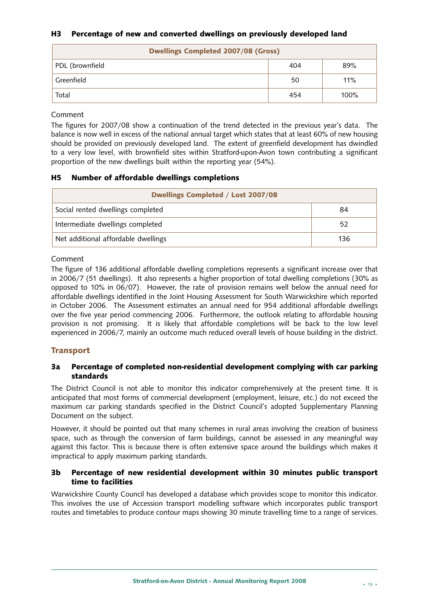# **H3 Percentage of new and converted dwellings on previously developed land**

| <b>Dwellings Completed 2007/08 (Gross)</b> |     |      |  |  |  |  |  |  |
|--------------------------------------------|-----|------|--|--|--|--|--|--|
| PDL (brownfield                            | 404 | 89%  |  |  |  |  |  |  |
| Greenfield                                 | 50  | 11%  |  |  |  |  |  |  |
| Total                                      | 454 | 100% |  |  |  |  |  |  |

#### Comment

The figures for 2007/08 show a continuation of the trend detected in the previous year's data. The balance is now well in excess of the national annual target which states that at least 60% of new housing should be provided on previously developed land. The extent of greenfield development has dwindled to a very low level, with brownfield sites within Stratford-upon-Avon town contributing a significant proportion of the new dwellings built within the reporting year (54%).

#### **H5 Number of affordable dwellings completions**

| <b>Dwellings Completed / Lost 2007/08</b> |     |  |  |  |  |  |
|-------------------------------------------|-----|--|--|--|--|--|
| Social rented dwellings completed         | 84  |  |  |  |  |  |
| Intermediate dwellings completed          | 52  |  |  |  |  |  |
| Net additional affordable dwellings       | 136 |  |  |  |  |  |

#### Comment

The figure of 136 additional affordable dwelling completions represents a significant increase over that in 2006/7 (51 dwellings). It also represents a higher proportion of total dwelling completions (30% as opposed to 10% in 06/07). However, the rate of provision remains well below the annual need for affordable dwellings identified in the Joint Housing Assessment for South Warwickshire which reported in October 2006. The Assessment estimates an annual need for 954 additional affordable dwellings over the five year period commencing 2006. Furthermore, the outlook relating to affordable housing provision is not promising. It is likely that affordable completions will be back to the low level experienced in 2006/7, mainly an outcome much reduced overall levels of house building in the district.

# **Transport**

#### **3a Percentage of completed non-residential development complying with car parking standards**

The District Council is not able to monitor this indicator comprehensively at the present time. It is anticipated that most forms of commercial development (employment, leisure, etc.) do not exceed the maximum car parking standards specified in the District Council's adopted Supplementary Planning Document on the subject.

However, it should be pointed out that many schemes in rural areas involving the creation of business space, such as through the conversion of farm buildings, cannot be assessed in any meaningful way against this factor. This is because there is often extensive space around the buildings which makes it impractical to apply maximum parking standards.

# **3b Percentage of new residential development within 30 minutes public transport time to facilities**

Warwickshire County Council has developed a database which provides scope to monitor this indicator. This involves the use of Accession transport modelling software which incorporates public transport routes and timetables to produce contour maps showing 30 minute travelling time to a range of services.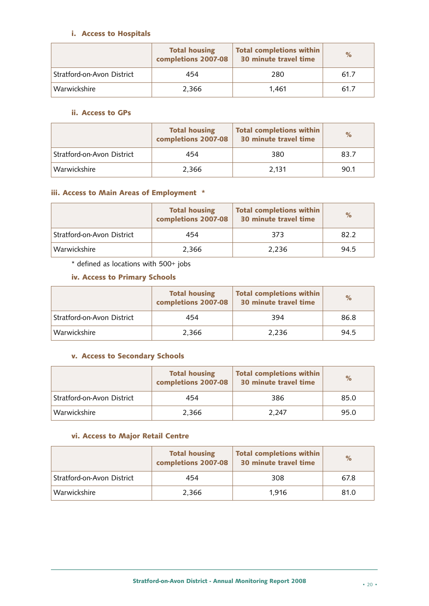# **i. Access to Hospitals**

|                            | <b>Total housing</b><br>completions 2007-08 | <b>Total completions within</b><br>30 minute travel time | $\%$ |
|----------------------------|---------------------------------------------|----------------------------------------------------------|------|
| Stratford-on-Avon District | 454                                         | 280                                                      | 61.7 |
| Warwickshire               | 2.366                                       | 1.461                                                    | 61.7 |

# **ii. Access to GPs**

|                            | <b>Total housing</b><br>completions 2007-08 | <b>Total completions within</b><br>30 minute travel time | $\%$ |
|----------------------------|---------------------------------------------|----------------------------------------------------------|------|
| Stratford-on-Avon District | 454                                         | 380                                                      | 83.7 |
| Warwickshire               | 2.366                                       | 2.131                                                    | 90.1 |

# **iii. Access to Main Areas of Employment \***

|                            | <b>Total housing</b><br>completions 2007-08 | <b>Total completions within</b><br>30 minute travel time | $\%$ |
|----------------------------|---------------------------------------------|----------------------------------------------------------|------|
| Stratford-on-Avon District | 454                                         | 373                                                      | 82.2 |
| Warwickshire               | 2.366                                       | 2.236                                                    | 94.5 |

\* defined as locations with 500+ jobs

# **iv. Access to Primary Schools**

|                            | <b>Total housing</b><br>completions 2007-08 | Total completions within<br>30 minute travel time | $\%$ |
|----------------------------|---------------------------------------------|---------------------------------------------------|------|
| Stratford-on-Avon District | 454                                         | 394                                               | 86.8 |
| Warwickshire               | 2.366                                       | 2.236                                             | 94.5 |

# **v. Access to Secondary Schools**

|                            | <b>Total housing</b><br>completions 2007-08 | <b>Total completions within</b><br>30 minute travel time | $\%$ |
|----------------------------|---------------------------------------------|----------------------------------------------------------|------|
| Stratford-on-Avon District | 454                                         | 386                                                      | 85.0 |
| Warwickshire               | 2,366                                       | 2.247                                                    | 95.0 |

# **vi. Access to Major Retail Centre**

|                            | <b>Total housing</b><br>completions 2007-08 | <b>Total completions within</b><br>30 minute travel time | $\%$ |
|----------------------------|---------------------------------------------|----------------------------------------------------------|------|
| Stratford-on-Avon District | 454                                         | 308                                                      | 67.8 |
| Warwickshire               | 2.366                                       | 1.916                                                    | 81.0 |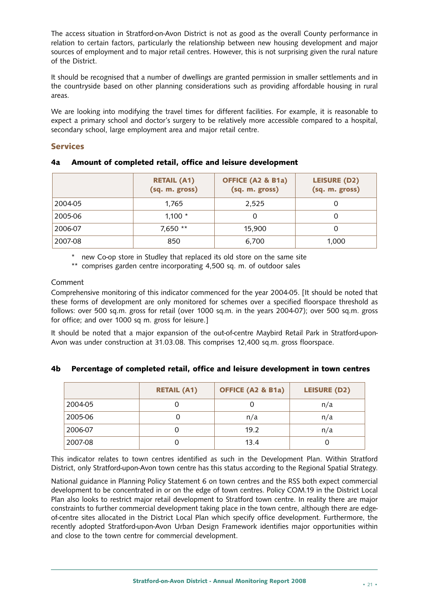The access situation in Stratford-on-Avon District is not as good as the overall County performance in relation to certain factors, particularly the relationship between new housing development and major sources of employment and to major retail centres. However, this is not surprising given the rural nature of the District.

It should be recognised that a number of dwellings are granted permission in smaller settlements and in the countryside based on other planning considerations such as providing affordable housing in rural areas.

We are looking into modifying the travel times for different facilities. For example, it is reasonable to expect a primary school and doctor's surgery to be relatively more accessible compared to a hospital, secondary school, large employment area and major retail centre.

#### **Services**

|         | <b>RETAIL (A1)</b><br>(sq. m. gross) | <b>OFFICE (A2 &amp; B1a)</b><br>(sq. m. gross) | LEISURE (D2)<br>(sq. m. gross) |
|---------|--------------------------------------|------------------------------------------------|--------------------------------|
| 2004-05 | 1,765                                | 2,525                                          |                                |
| 2005-06 | 1,100 $*$                            | 0                                              |                                |
| 2006-07 | 7,650 **                             | 15,900                                         |                                |
| 2007-08 | 850                                  | 6,700                                          | 1,000                          |

# **4a Amount of completed retail, office and leisure development**

\* new Co-op store in Studley that replaced its old store on the same site

\*\* comprises garden centre incorporating 4,500 sq. m. of outdoor sales

#### Comment

Comprehensive monitoring of this indicator commenced for the year 2004-05. [It should be noted that these forms of development are only monitored for schemes over a specified floorspace threshold as follows: over 500 sq.m. gross for retail (over 1000 sq.m. in the years 2004-07); over 500 sq.m. gross for office; and over 1000 sq m. gross for leisure.]

It should be noted that a major expansion of the out-of-centre Maybird Retail Park in Stratford-upon-Avon was under construction at 31.03.08. This comprises 12,400 sq.m. gross floorspace.

#### **4b Percentage of completed retail, office and leisure development in town centres**

|         | <b>RETAIL (A1)</b> | <b>OFFICE (A2 &amp; B1a)</b> | <b>LEISURE (D2)</b> |
|---------|--------------------|------------------------------|---------------------|
| 2004-05 |                    |                              | n/a                 |
| 2005-06 |                    | n/a                          | n/a                 |
| 2006-07 | O                  | 19.2                         | n/a                 |
| 2007-08 |                    | 13.4                         |                     |

This indicator relates to town centres identified as such in the Development Plan. Within Stratford District, only Stratford-upon-Avon town centre has this status according to the Regional Spatial Strategy.

National guidance in Planning Policy Statement 6 on town centres and the RSS both expect commercial development to be concentrated in or on the edge of town centres. Policy COM.19 in the District Local Plan also looks to restrict major retail development to Stratford town centre. In reality there are major constraints to further commercial development taking place in the town centre, although there are edgeof-centre sites allocated in the District Local Plan which specify office development. Furthermore, the recently adopted Stratford-upon-Avon Urban Design Framework identifies major opportunities within and close to the town centre for commercial development.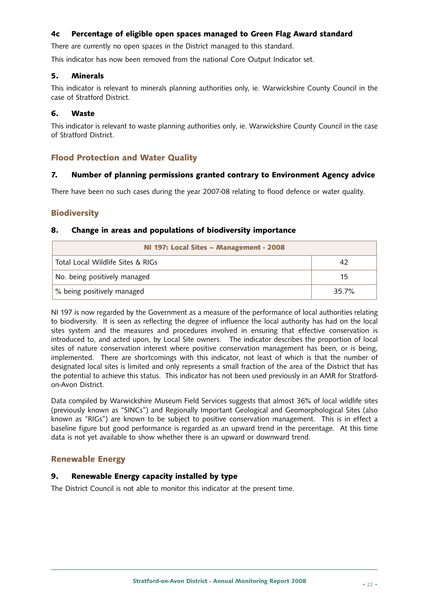# **4c Percentage of eligible open spaces managed to Green Flag Award standard**

There are currently no open spaces in the District managed to this standard.

This indicator has now been removed from the national Core Output Indicator set.

#### **5. Minerals**

This indicator is relevant to minerals planning authorities only, ie. Warwickshire County Council in the case of Stratford District.

# **6. Waste**

This indicator is relevant to waste planning authorities only, ie. Warwickshire County Council in the case of Stratford District.

# **Flood Protection and Water Quality**

# **7. Number of planning permissions granted contrary to Environment Agency advice**

There have been no such cases during the year 2007-08 relating to flood defence or water quality.

# **Biodiversity**

#### **8. Change in areas and populations of biodiversity importance**

| NI 197: Local Sites - Management - 2008 |       |  |
|-----------------------------------------|-------|--|
| Total Local Wildlife Sites & RIGs       |       |  |
| No. being positively managed            | 15    |  |
| % being positively managed              | 35.7% |  |

NI 197 is now regarded by the Government as a measure of the performance of local authorities relating to biodiversity. It is seen as reflecting the degree of influence the local authority has had on the local sites system and the measures and procedures involved in ensuring that effective conservation is introduced to, and acted upon, by Local Site owners. The indicator describes the proportion of local sites of nature conservation interest where positive conservation management has been, or is being, implemented. There are shortcomings with this indicator, not least of which is that the number of designated local sites is limited and only represents a small fraction of the area of the District that has the potential to achieve this status. This indicator has not been used previously in an AMR for Stratfordon-Avon District.

Data compiled by Warwickshire Museum Field Services suggests that almost 36% of local wildlife sites (previously known as "SINCs") and Regionally Important Geological and Geomorphological Sites (also known as "RIGs") are known to be subject to positive conservation management. This is in effect a baseline figure but good performance is regarded as an upward trend in the percentage. At this time data is not yet available to show whether there is an upward or downward trend.

# **Renewable Energy**

# **9. Renewable Energy capacity installed by type**

The District Council is not able to monitor this indicator at the present time.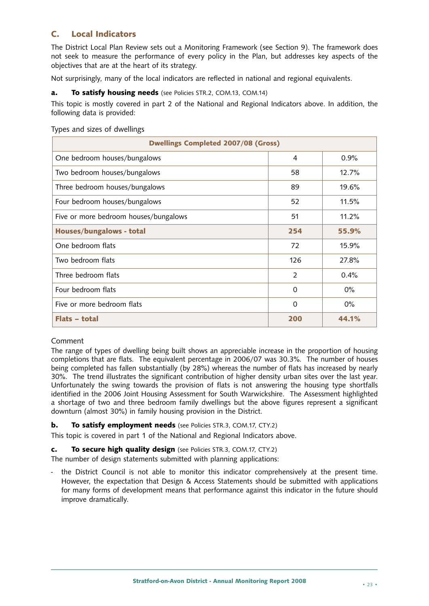# **C. Local Indicators**

The District Local Plan Review sets out a Monitoring Framework (see Section 9). The framework does not seek to measure the performance of every policy in the Plan, but addresses key aspects of the objectives that are at the heart of its strategy.

Not surprisingly, many of the local indicators are reflected in national and regional equivalents.

#### **a. To satisfy housing needs** (see Policies STR.2, COM.13, COM.14)

This topic is mostly covered in part 2 of the National and Regional Indicators above. In addition, the following data is provided:

| <b>Dwellings Completed 2007/08 (Gross)</b> |          |       |  |  |
|--------------------------------------------|----------|-------|--|--|
| One bedroom houses/bungalows               | 4        | 0.9%  |  |  |
| Two bedroom houses/bungalows               | 58       | 12.7% |  |  |
| Three bedroom houses/bungalows             | 89       | 19.6% |  |  |
| Four bedroom houses/bungalows              | 52       | 11.5% |  |  |
| Five or more bedroom houses/bungalows      | 51       | 11.2% |  |  |
| Houses/bungalows - total                   | 254      | 55.9% |  |  |
| One bedroom flats                          | 72       | 15.9% |  |  |
| Two bedroom flats                          | 126      | 27.8% |  |  |
| Three bedroom flats                        | 2        | 0.4%  |  |  |
| Four bedroom flats                         | $\Omega$ | $0\%$ |  |  |
| Five or more bedroom flats                 | $\Omega$ | $0\%$ |  |  |
| Flats - total                              | 200      | 44.1% |  |  |

#### Types and sizes of dwellings

# Comment

The range of types of dwelling being built shows an appreciable increase in the proportion of housing completions that are flats. The equivalent percentage in 2006/07 was 30.3%. The number of houses being completed has fallen substantially (by 28%) whereas the number of flats has increased by nearly 30%. The trend illustrates the significant contribution of higher density urban sites over the last year. Unfortunately the swing towards the provision of flats is not answering the housing type shortfalls identified in the 2006 Joint Housing Assessment for South Warwickshire. The Assessment highlighted a shortage of two and three bedroom family dwellings but the above figures represent a significant downturn (almost 30%) in family housing provision in the District.

# **b. To satisfy employment needs** (see Policies STR.3, COM.17, CTY.2)

This topic is covered in part 1 of the National and Regional Indicators above.

#### **c. To secure high quality design** (see Policies STR.3, COM.17, CTY.2)

The number of design statements submitted with planning applications:

the District Council is not able to monitor this indicator comprehensively at the present time. However, the expectation that Design & Access Statements should be submitted with applications for many forms of development means that performance against this indicator in the future should improve dramatically.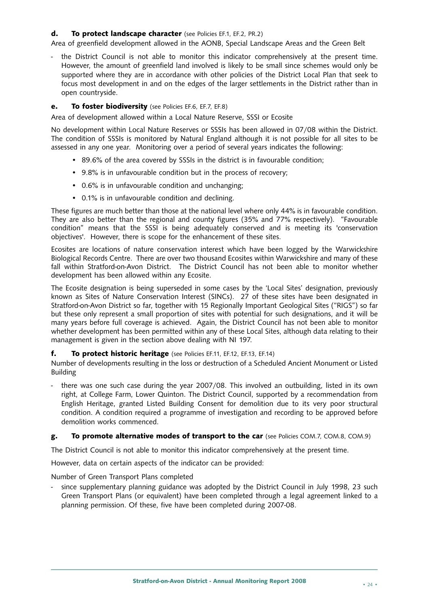#### **d. To protect landscape character** (see Policies EF.1, EF.2, PR.2)

Area of greenfield development allowed in the AONB, Special Landscape Areas and the Green Belt

the District Council is not able to monitor this indicator comprehensively at the present time. However, the amount of greenfield land involved is likely to be small since schemes would only be supported where they are in accordance with other policies of the District Local Plan that seek to focus most development in and on the edges of the larger settlements in the District rather than in open countryside.

#### **e. To foster biodiversity** (see Policies EF.6, EF.7, EF.8)

Area of development allowed within a Local Nature Reserve, SSSI or Ecosite

No development within Local Nature Reserves or SSSIs has been allowed in 07/08 within the District. The condition of SSSIs is monitored by Natural England although it is not possible for all sites to be assessed in any one year. Monitoring over a period of several years indicates the following:

- 89.6% of the area covered by SSSIs in the district is in favourable condition;
- 9.8% is in unfavourable condition but in the process of recovery;
- 0.6% is in unfavourable condition and unchanging;
- 0.1% is in unfavourable condition and declining.

These figures are much better than those at the national level where only 44% is in favourable condition. They are also better than the regional and county figures (35% and 77% respectively). "Favourable condition" means that the SSSI is being adequately conserved and is meeting its 'conservation objectives'. However, there is scope for the enhancement of these sites.

Ecosites are locations of nature conservation interest which have been logged by the Warwickshire Biological Records Centre. There are over two thousand Ecosites within Warwickshire and many of these fall within Stratford-on-Avon District. The District Council has not been able to monitor whether development has been allowed within any Ecosite.

The Ecosite designation is being superseded in some cases by the 'Local Sites' designation, previously known as Sites of Nature Conservation Interest (SINCs). 27 of these sites have been designated in Stratford-on-Avon District so far, together with 15 Regionally Important Geological Sites ("RIGS") so far but these only represent a small proportion of sites with potential for such designations, and it will be many years before full coverage is achieved. Again, the District Council has not been able to monitor whether development has been permitted within any of these Local Sites, although data relating to their management is given in the section above dealing with NI 197.

#### **f. To protect historic heritage** (see Policies EF.11, EF.12, EF.13, EF.14)

Number of developments resulting in the loss or destruction of a Scheduled Ancient Monument or Listed Building

- there was one such case during the year 2007/08. This involved an outbuilding, listed in its own right, at College Farm, Lower Quinton. The District Council, supported by a recommendation from English Heritage, granted Listed Building Consent for demolition due to its very poor structural condition. A condition required a programme of investigation and recording to be approved before demolition works commenced.

#### **g. To promote alternative modes of transport to the car** (see Policies COM.7, COM.8, COM.9)

The District Council is not able to monitor this indicator comprehensively at the present time.

However, data on certain aspects of the indicator can be provided:

Number of Green Transport Plans completed

since supplementary planning guidance was adopted by the District Council in July 1998, 23 such Green Transport Plans (or equivalent) have been completed through a legal agreement linked to a planning permission. Of these, five have been completed during 2007-08.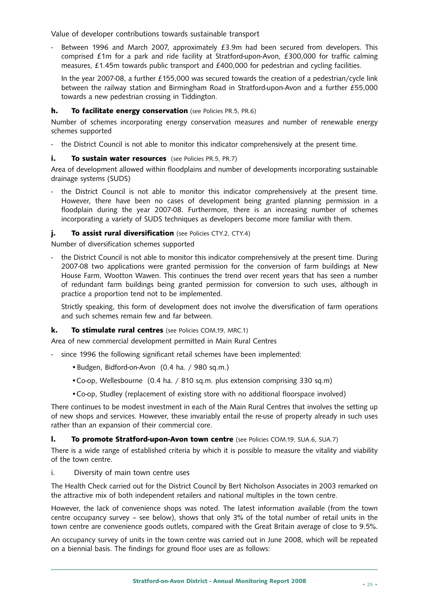Value of developer contributions towards sustainable transport

Between 1996 and March 2007, approximately £3.9m had been secured from developers. This comprised £1m for a park and ride facility at Stratford-upon-Avon, £300,000 for traffic calming measures, £1.45m towards public transport and £400,000 for pedestrian and cycling facilities.

In the year 2007-08, a further £155,000 was secured towards the creation of a pedestrian/cycle link between the railway station and Birmingham Road in Stratford-upon-Avon and a further £55,000 towards a new pedestrian crossing in Tiddington.

#### **h. To facilitate energy conservation** (see Policies PR.5, PR.6)

Number of schemes incorporating energy conservation measures and number of renewable energy schemes supported

the District Council is not able to monitor this indicator comprehensively at the present time.

#### **i. To sustain water resources** (see Policies PR.5, PR.7)

Area of development allowed within floodplains and number of developments incorporating sustainable drainage systems (SUDS)

the District Council is not able to monitor this indicator comprehensively at the present time. However, there have been no cases of development being granted planning permission in a floodplain during the year 2007-08. Furthermore, there is an increasing number of schemes incorporating a variety of SUDS techniques as developers become more familiar with them.

#### **j. To assist rural diversification** (see Policies CTY.2, CTY.4)

Number of diversification schemes supported

the District Council is not able to monitor this indicator comprehensively at the present time. During 2007-08 two applications were granted permission for the conversion of farm buildings at New House Farm, Wootton Wawen. This continues the trend over recent years that has seen a number of redundant farm buildings being granted permission for conversion to such uses, although in practice a proportion tend not to be implemented.

Strictly speaking, this form of development does not involve the diversification of farm operations and such schemes remain few and far between.

#### **k. To stimulate rural centres** (see Policies COM.19, MRC.1)

Area of new commercial development permitted in Main Rural Centres

- since 1996 the following significant retail schemes have been implemented:
	- •Budgen, Bidford-on-Avon (0.4 ha. / 980 sq.m.)
	- •Co-op, Wellesbourne (0.4 ha. / 810 sq.m. plus extension comprising 330 sq.m)
	- •Co-op, Studley (replacement of existing store with no additional floorspace involved)

There continues to be modest investment in each of the Main Rural Centres that involves the setting up of new shops and services. However, these invariably entail the re-use of property already in such uses rather than an expansion of their commercial core.

#### **l. To promote Stratford-upon-Avon town centre** (see Policies COM.19, SUA.6, SUA.7)

There is a wide range of established criteria by which it is possible to measure the vitality and viability of the town centre.

i. Diversity of main town centre uses

The Health Check carried out for the District Council by Bert Nicholson Associates in 2003 remarked on the attractive mix of both independent retailers and national multiples in the town centre.

However, the lack of convenience shops was noted. The latest information available (from the town centre occupancy survey – see below), shows that only 3% of the total number of retail units in the town centre are convenience goods outlets, compared with the Great Britain average of close to 9.5%.

An occupancy survey of units in the town centre was carried out in June 2008, which will be repeated on a biennial basis. The findings for ground floor uses are as follows: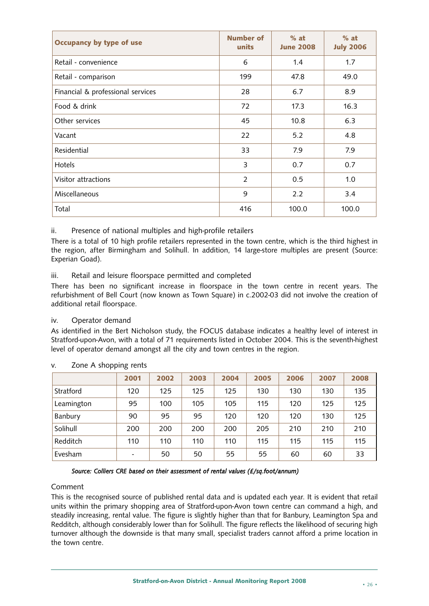| Occupancy by type of use          | <b>Number of</b><br>units | $%$ at<br><b>June 2008</b> | $%$ at<br><b>July 2006</b> |
|-----------------------------------|---------------------------|----------------------------|----------------------------|
| Retail - convenience              | 6                         | 1.4                        | 1.7                        |
| Retail - comparison               | 199                       | 47.8                       | 49.0                       |
| Financial & professional services | 28                        | 6.7                        | 8.9                        |
| Food & drink                      | 72                        | 17.3                       | 16.3                       |
| Other services                    | 45                        | 10.8                       | 6.3                        |
| Vacant                            | 22                        | 5.2                        | 4.8                        |
| Residential                       | 33                        | 7.9                        | 7.9                        |
| Hotels                            | 3                         | 0.7                        | 0.7                        |
| Visitor attractions               | $\overline{2}$            | 0.5                        | 1.0                        |
| Miscellaneous                     | 9                         | 2.2                        | 3.4                        |
| Total                             | 416                       | 100.0                      | 100.0                      |

ii. Presence of national multiples and high-profile retailers

There is a total of 10 high profile retailers represented in the town centre, which is the third highest in the region, after Birmingham and Solihull. In addition, 14 large-store multiples are present (Source: Experian Goad).

#### iii. Retail and leisure floorspace permitted and completed

There has been no significant increase in floorspace in the town centre in recent years. The refurbishment of Bell Court (now known as Town Square) in c.2002-03 did not involve the creation of additional retail floorspace.

#### iv. Operator demand

As identified in the Bert Nicholson study, the FOCUS database indicates a healthy level of interest in Stratford-upon-Avon, with a total of 71 requirements listed in October 2004. This is the seventh-highest level of operator demand amongst all the city and town centres in the region.

|            | 2001 | 2002 | 2003 | 2004 | 2005 | 2006 | 2007 | 2008 |
|------------|------|------|------|------|------|------|------|------|
| Stratford  | 120  | 125  | 125  | 125  | 130  | 130  | 130  | 135  |
| Leamington | 95   | 100  | 105  | 105  | 115  | 120  | 125  | 125  |
| Banbury    | 90   | 95   | 95   | 120  | 120  | 120  | 130  | 125  |
| Solihull   | 200  | 200  | 200  | 200  | 205  | 210  | 210  | 210  |
| Redditch   | 110  | 110  | 110  | 110  | 115  | 115  | 115  | 115  |
| Evesham    |      | 50   | 50   | 55   | 55   | 60   | 60   | 33   |

v. Zone A shopping rents

#### *Source: Colliers CRE based on their assessment of rental values (£/sq.foot/annum)*

#### Comment

This is the recognised source of published rental data and is updated each year. It is evident that retail units within the primary shopping area of Stratford-upon-Avon town centre can command a high, and steadily increasing, rental value. The figure is slightly higher than that for Banbury, Leamington Spa and Redditch, although considerably lower than for Solihull. The figure reflects the likelihood of securing high turnover although the downside is that many small, specialist traders cannot afford a prime location in the town centre.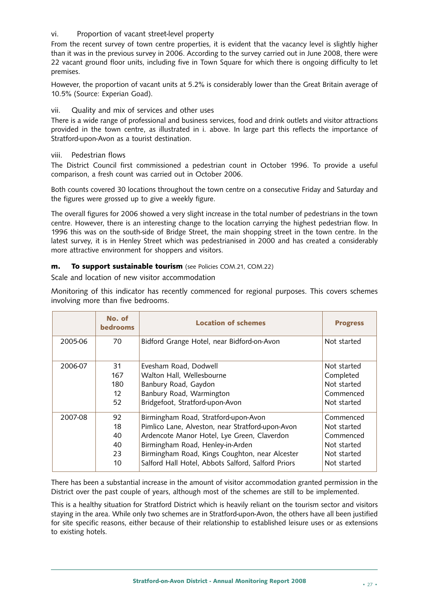# vi. Proportion of vacant street-level property

From the recent survey of town centre properties, it is evident that the vacancy level is slightly higher than it was in the previous survey in 2006. According to the survey carried out in June 2008, there were 22 vacant ground floor units, including five in Town Square for which there is ongoing difficulty to let premises.

However, the proportion of vacant units at 5.2% is considerably lower than the Great Britain average of 10.5% (Source: Experian Goad).

# vii. Quality and mix of services and other uses

There is a wide range of professional and business services, food and drink outlets and visitor attractions provided in the town centre, as illustrated in i. above. In large part this reflects the importance of Stratford-upon-Avon as a tourist destination.

#### viii. Pedestrian flows

The District Council first commissioned a pedestrian count in October 1996. To provide a useful comparison, a fresh count was carried out in October 2006.

Both counts covered 30 locations throughout the town centre on a consecutive Friday and Saturday and the figures were grossed up to give a weekly figure.

The overall figures for 2006 showed a very slight increase in the total number of pedestrians in the town centre. However, there is an interesting change to the location carrying the highest pedestrian flow. In 1996 this was on the south-side of Bridge Street, the main shopping street in the town centre. In the latest survey, it is in Henley Street which was pedestrianised in 2000 and has created a considerably more attractive environment for shoppers and visitors.

#### **m. To support sustainable tourism** (see Policies COM.21, COM.22)

Scale and location of new visitor accommodation

Monitoring of this indicator has recently commenced for regional purposes. This covers schemes involving more than five bedrooms.

|         | No. of<br><b>bedrooms</b> | <b>Location of schemes</b>                         | <b>Progress</b> |
|---------|---------------------------|----------------------------------------------------|-----------------|
| 2005-06 | 70                        | Bidford Grange Hotel, near Bidford-on-Avon         | Not started     |
| 2006-07 | 31                        | Evesham Road, Dodwell                              | Not started     |
|         | 167                       | Walton Hall, Wellesbourne                          | Completed       |
|         | 180                       | Banbury Road, Gaydon                               | Not started     |
|         | $12 \overline{ }$         | Banbury Road, Warmington                           | Commenced       |
|         | 52                        | Bridgefoot, Stratford-upon-Avon                    | Not started     |
| 2007-08 | 92                        | Birmingham Road, Stratford-upon-Avon               | Commenced       |
|         | 18                        | Pimlico Lane, Alveston, near Stratford-upon-Avon   | Not started     |
|         | 40                        | Ardencote Manor Hotel, Lye Green, Claverdon        | Commenced       |
|         | 40                        | Birmingham Road, Henley-in-Arden                   | Not started     |
|         | 23                        | Birmingham Road, Kings Coughton, near Alcester     | Not started     |
|         | 10                        | Salford Hall Hotel, Abbots Salford, Salford Priors | Not started     |

There has been a substantial increase in the amount of visitor accommodation granted permission in the District over the past couple of years, although most of the schemes are still to be implemented.

This is a healthy situation for Stratford District which is heavily reliant on the tourism sector and visitors staying in the area. While only two schemes are in Stratford-upon-Avon, the others have all been justified for site specific reasons, either because of their relationship to established leisure uses or as extensions to existing hotels.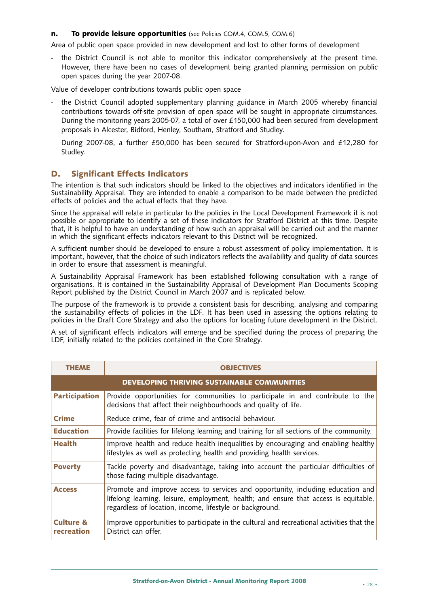#### **n. To provide leisure opportunities** (see Policies COM.4, COM.5, COM.6)

Area of public open space provided in new development and lost to other forms of development

the District Council is not able to monitor this indicator comprehensively at the present time. However, there have been no cases of development being granted planning permission on public open spaces during the year 2007-08.

Value of developer contributions towards public open space

the District Council adopted supplementary planning guidance in March 2005 whereby financial contributions towards off-site provision of open space will be sought in appropriate circumstances. During the monitoring years 2005-07, a total of over £150,000 had been secured from development proposals in Alcester, Bidford, Henley, Southam, Stratford and Studley.

During 2007-08, a further £50,000 has been secured for Stratford-upon-Avon and £12,280 for Studley.

# **D. Significant Effects Indicators**

The intention is that such indicators should be linked to the objectives and indicators identified in the Sustainability Appraisal. They are intended to enable a comparison to be made between the predicted effects of policies and the actual effects that they have.

Since the appraisal will relate in particular to the policies in the Local Development Framework it is not possible or appropriate to identify a set of these indicators for Stratford District at this time. Despite that, it is helpful to have an understanding of how such an appraisal will be carried out and the manner in which the significant effects indicators relevant to this District will be recognized.

A sufficient number should be developed to ensure a robust assessment of policy implementation. It is important, however, that the choice of such indicators reflects the availability and quality of data sources in order to ensure that assessment is meaningful.

A Sustainability Appraisal Framework has been established following consultation with a range of organisations. It is contained in the Sustainability Appraisal of Development Plan Documents Scoping Report published by the District Council in March 2007 and is replicated below.

The purpose of the framework is to provide a consistent basis for describing, analysing and comparing the sustainability effects of policies in the LDF. It has been used in assessing the options relating to policies in the Draft Core Strategy and also the options for locating future development in the District.

A set of significant effects indicators will emerge and be specified during the process of preparing the LDF, initially related to the policies contained in the Core Strategy.

| <b>THEME</b>                       | <b>OBJECTIVES</b>                                                                                                                                                                                                                   |
|------------------------------------|-------------------------------------------------------------------------------------------------------------------------------------------------------------------------------------------------------------------------------------|
|                                    | DEVELOPING THRIVING SUSTAINABLE COMMUNITIES                                                                                                                                                                                         |
| <b>Participation</b>               | Provide opportunities for communities to participate in and contribute to the<br>decisions that affect their neighbourhoods and quality of life.                                                                                    |
| <b>Crime</b>                       | Reduce crime, fear of crime and antisocial behaviour.                                                                                                                                                                               |
| <b>Education</b>                   | Provide facilities for lifelong learning and training for all sections of the community.                                                                                                                                            |
| <b>Health</b>                      | Improve health and reduce health inequalities by encouraging and enabling healthy<br>lifestyles as well as protecting health and providing health services.                                                                         |
| <b>Poverty</b>                     | Tackle poverty and disadvantage, taking into account the particular difficulties of<br>those facing multiple disadvantage.                                                                                                          |
| <b>Access</b>                      | Promote and improve access to services and opportunity, including education and<br>lifelong learning, leisure, employment, health; and ensure that access is equitable,<br>regardless of location, income, lifestyle or background. |
| <b>Culture &amp;</b><br>recreation | Improve opportunities to participate in the cultural and recreational activities that the<br>District can offer.                                                                                                                    |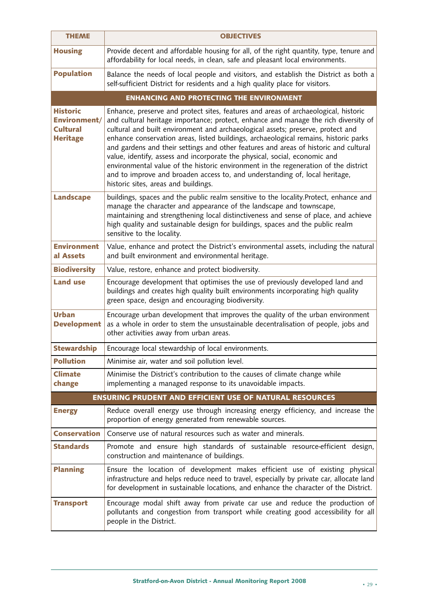| <b>THEME</b>                                                          | <b>OBJECTIVES</b>                                                                                                                                                                                                                                                                                                                                                                                                                                                                                                                                                                                                                                                                                                                         |
|-----------------------------------------------------------------------|-------------------------------------------------------------------------------------------------------------------------------------------------------------------------------------------------------------------------------------------------------------------------------------------------------------------------------------------------------------------------------------------------------------------------------------------------------------------------------------------------------------------------------------------------------------------------------------------------------------------------------------------------------------------------------------------------------------------------------------------|
| <b>Housing</b>                                                        | Provide decent and affordable housing for all, of the right quantity, type, tenure and<br>affordability for local needs, in clean, safe and pleasant local environments.                                                                                                                                                                                                                                                                                                                                                                                                                                                                                                                                                                  |
| <b>Population</b>                                                     | Balance the needs of local people and visitors, and establish the District as both a<br>self-sufficient District for residents and a high quality place for visitors.                                                                                                                                                                                                                                                                                                                                                                                                                                                                                                                                                                     |
|                                                                       | <b>ENHANCING AND PROTECTING THE ENVIRONMENT</b>                                                                                                                                                                                                                                                                                                                                                                                                                                                                                                                                                                                                                                                                                           |
| <b>Historic</b><br>Environment/<br><b>Cultural</b><br><b>Heritage</b> | Enhance, preserve and protect sites, features and areas of archaeological, historic<br>and cultural heritage importance; protect, enhance and manage the rich diversity of<br>cultural and built environment and archaeological assets; preserve, protect and<br>enhance conservation areas, listed buildings, archaeological remains, historic parks<br>and gardens and their settings and other features and areas of historic and cultural<br>value, identify, assess and incorporate the physical, social, economic and<br>environmental value of the historic environment in the regeneration of the district<br>and to improve and broaden access to, and understanding of, local heritage,<br>historic sites, areas and buildings. |
| <b>Landscape</b>                                                      | buildings, spaces and the public realm sensitive to the locality.Protect, enhance and<br>manage the character and appearance of the landscape and townscape,<br>maintaining and strengthening local distinctiveness and sense of place, and achieve<br>high quality and sustainable design for buildings, spaces and the public realm<br>sensitive to the locality.                                                                                                                                                                                                                                                                                                                                                                       |
| <b>Environment</b><br>al Assets                                       | Value, enhance and protect the District's environmental assets, including the natural<br>and built environment and environmental heritage.                                                                                                                                                                                                                                                                                                                                                                                                                                                                                                                                                                                                |
| <b>Biodiversity</b>                                                   | Value, restore, enhance and protect biodiversity.                                                                                                                                                                                                                                                                                                                                                                                                                                                                                                                                                                                                                                                                                         |
| <b>Land use</b>                                                       | Encourage development that optimises the use of previously developed land and<br>buildings and creates high quality built environments incorporating high quality<br>green space, design and encouraging biodiversity.                                                                                                                                                                                                                                                                                                                                                                                                                                                                                                                    |
| <b>Urban</b><br><b>Development</b>                                    | Encourage urban development that improves the quality of the urban environment<br>as a whole in order to stem the unsustainable decentralisation of people, jobs and<br>other activities away from urban areas.                                                                                                                                                                                                                                                                                                                                                                                                                                                                                                                           |
| <b>Stewardship</b>                                                    | Encourage local stewardship of local environments.                                                                                                                                                                                                                                                                                                                                                                                                                                                                                                                                                                                                                                                                                        |
| <b>Pollution</b>                                                      | Minimise air, water and soil pollution level.                                                                                                                                                                                                                                                                                                                                                                                                                                                                                                                                                                                                                                                                                             |
| <b>Climate</b><br>change                                              | Minimise the District's contribution to the causes of climate change while<br>implementing a managed response to its unavoidable impacts.                                                                                                                                                                                                                                                                                                                                                                                                                                                                                                                                                                                                 |
|                                                                       | <b>ENSURING PRUDENT AND EFFICIENT USE OF NATURAL RESOURCES</b>                                                                                                                                                                                                                                                                                                                                                                                                                                                                                                                                                                                                                                                                            |
| <b>Energy</b>                                                         | Reduce overall energy use through increasing energy efficiency, and increase the<br>proportion of energy generated from renewable sources.                                                                                                                                                                                                                                                                                                                                                                                                                                                                                                                                                                                                |
| <b>Conservation</b>                                                   | Conserve use of natural resources such as water and minerals.                                                                                                                                                                                                                                                                                                                                                                                                                                                                                                                                                                                                                                                                             |
| <b>Standards</b>                                                      | Promote and ensure high standards of sustainable resource-efficient design,<br>construction and maintenance of buildings.                                                                                                                                                                                                                                                                                                                                                                                                                                                                                                                                                                                                                 |
| <b>Planning</b>                                                       | Ensure the location of development makes efficient use of existing physical<br>infrastructure and helps reduce need to travel, especially by private car, allocate land<br>for development in sustainable locations, and enhance the character of the District.                                                                                                                                                                                                                                                                                                                                                                                                                                                                           |
| <b>Transport</b>                                                      | Encourage modal shift away from private car use and reduce the production of<br>pollutants and congestion from transport while creating good accessibility for all<br>people in the District.                                                                                                                                                                                                                                                                                                                                                                                                                                                                                                                                             |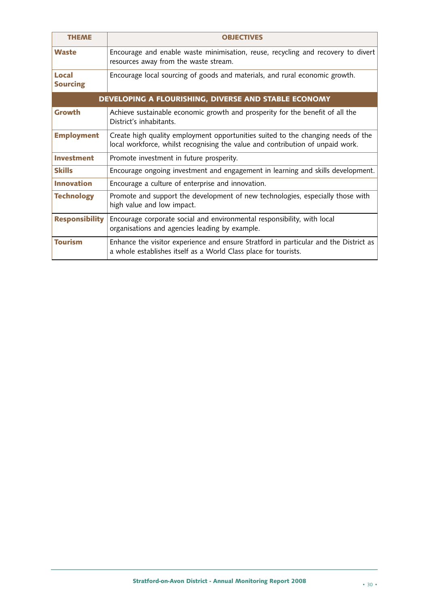| <b>THEME</b>             | <b>OBJECTIVES</b>                                                                                                                                                  |
|--------------------------|--------------------------------------------------------------------------------------------------------------------------------------------------------------------|
| Waste                    | Encourage and enable waste minimisation, reuse, recycling and recovery to divert<br>resources away from the waste stream.                                          |
| Local<br><b>Sourcing</b> | Encourage local sourcing of goods and materials, and rural economic growth.                                                                                        |
|                          | DEVELOPING A FLOURISHING, DIVERSE AND STABLE ECONOMY                                                                                                               |
| Growth                   | Achieve sustainable economic growth and prosperity for the benefit of all the<br>District's inhabitants.                                                           |
| <b>Employment</b>        | Create high quality employment opportunities suited to the changing needs of the<br>local workforce, whilst recognising the value and contribution of unpaid work. |
| <b>Investment</b>        | Promote investment in future prosperity.                                                                                                                           |
| <b>Skills</b>            | Encourage ongoing investment and engagement in learning and skills development.                                                                                    |
| <b>Innovation</b>        | Encourage a culture of enterprise and innovation.                                                                                                                  |
| <b>Technology</b>        | Promote and support the development of new technologies, especially those with<br>high value and low impact.                                                       |
| <b>Responsibility</b>    | Encourage corporate social and environmental responsibility, with local<br>organisations and agencies leading by example.                                          |
| <b>Tourism</b>           | Enhance the visitor experience and ensure Stratford in particular and the District as<br>a whole establishes itself as a World Class place for tourists.           |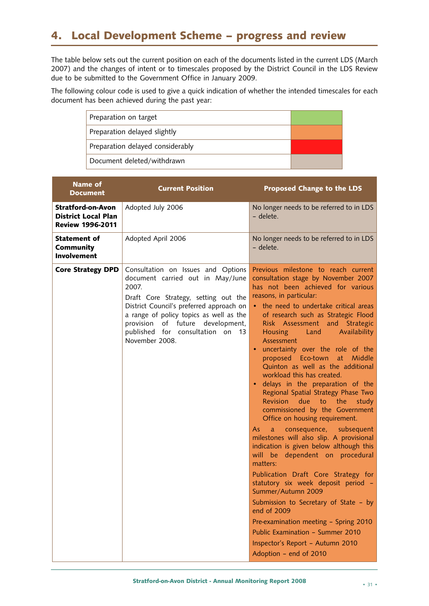# **4. Local Development Scheme – progress and review**

The table below sets out the current position on each of the documents listed in the current LDS (March 2007) and the changes of intent or to timescales proposed by the District Council in the LDS Review due to be submitted to the Government Office in January 2009.

The following colour code is used to give a quick indication of whether the intended timescales for each document has been achieved during the past year:

| Preparation on target            |  |
|----------------------------------|--|
| Preparation delayed slightly     |  |
| Preparation delayed considerably |  |
| Document deleted/withdrawn       |  |

| <b>Name of</b><br><b>Document</b>                                                 | <b>Current Position</b>                                                                                                                                                                                                                                                                                  | <b>Proposed Change to the LDS</b>                                                                                                                                                                                                                                                                                                                                                                                                                                                                                                                                                                                                                                                                                                                                                                                                                                                                                                                                                                                                                                                                                       |
|-----------------------------------------------------------------------------------|----------------------------------------------------------------------------------------------------------------------------------------------------------------------------------------------------------------------------------------------------------------------------------------------------------|-------------------------------------------------------------------------------------------------------------------------------------------------------------------------------------------------------------------------------------------------------------------------------------------------------------------------------------------------------------------------------------------------------------------------------------------------------------------------------------------------------------------------------------------------------------------------------------------------------------------------------------------------------------------------------------------------------------------------------------------------------------------------------------------------------------------------------------------------------------------------------------------------------------------------------------------------------------------------------------------------------------------------------------------------------------------------------------------------------------------------|
| <b>Stratford-on-Avon</b><br><b>District Local Plan</b><br><b>Review 1996-2011</b> | Adopted July 2006                                                                                                                                                                                                                                                                                        | No longer needs to be referred to in LDS<br>- delete.                                                                                                                                                                                                                                                                                                                                                                                                                                                                                                                                                                                                                                                                                                                                                                                                                                                                                                                                                                                                                                                                   |
| <b>Statement of</b><br>Community<br><b>Involvement</b>                            | Adopted April 2006                                                                                                                                                                                                                                                                                       | No longer needs to be referred to in LDS<br>- delete.                                                                                                                                                                                                                                                                                                                                                                                                                                                                                                                                                                                                                                                                                                                                                                                                                                                                                                                                                                                                                                                                   |
| <b>Core Strategy DPD</b>                                                          | Consultation on Issues and Options<br>document carried out in May/June<br>2007.<br>Draft Core Strategy, setting out the<br>District Council's preferred approach on<br>a range of policy topics as well as the<br>provision of future development,<br>published for consultation on 13<br>November 2008. | Previous milestone to reach current<br>consultation stage by November 2007<br>has not been achieved for various<br>reasons, in particular:<br>• the need to undertake critical areas<br>of research such as Strategic Flood<br>Risk Assessment and Strategic<br>Availability<br>Housing Land<br>Assessment<br>uncertainty over the role of the<br>proposed Eco-town at Middle<br>Quinton as well as the additional<br>workload this has created.<br>delays in the preparation of the<br>Regional Spatial Strategy Phase Two<br>Revision due to the<br>study<br>commissioned by the Government<br>Office on housing requirement.<br>consequence, subsequent<br>As:<br>$a -$<br>milestones will also slip. A provisional<br>indication is given below although this<br>will be dependent on procedural<br>matters:<br>Publication Draft Core Strategy for<br>statutory six week deposit period -<br>Summer/Autumn 2009<br>Submission to Secretary of State - by<br>end of 2009<br>Pre-examination meeting - Spring 2010<br>Public Examination - Summer 2010<br>Inspector's Report - Autumn 2010<br>Adoption - end of 2010 |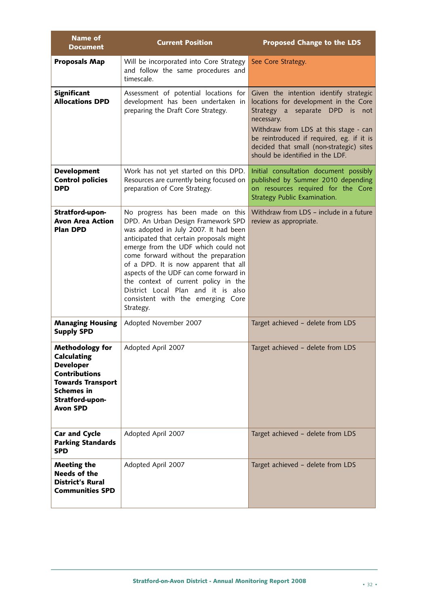| <b>Name of</b><br><b>Document</b>                                                                                                                                               | <b>Current Position</b>                                                                                                                                                                                                                                                                                                                                                                                                                                        | <b>Proposed Change to the LDS</b>                                                                                                                                                                                                                                                                        |
|---------------------------------------------------------------------------------------------------------------------------------------------------------------------------------|----------------------------------------------------------------------------------------------------------------------------------------------------------------------------------------------------------------------------------------------------------------------------------------------------------------------------------------------------------------------------------------------------------------------------------------------------------------|----------------------------------------------------------------------------------------------------------------------------------------------------------------------------------------------------------------------------------------------------------------------------------------------------------|
| <b>Proposals Map</b>                                                                                                                                                            | Will be incorporated into Core Strategy<br>and follow the same procedures and<br>timescale.                                                                                                                                                                                                                                                                                                                                                                    | See Core Strategy.                                                                                                                                                                                                                                                                                       |
| <b>Significant</b><br><b>Allocations DPD</b>                                                                                                                                    | Assessment of potential locations for<br>development has been undertaken in<br>preparing the Draft Core Strategy.                                                                                                                                                                                                                                                                                                                                              | Given the intention identify strategic<br>locations for development in the Core<br>Strategy a separate DPD is<br>not<br>necessary.<br>Withdraw from LDS at this stage - can<br>be reintroduced if required, eg. if it is<br>decided that small (non-strategic) sites<br>should be identified in the LDF. |
| <b>Development</b><br><b>Control policies</b><br><b>DPD</b>                                                                                                                     | Work has not yet started on this DPD.<br>Resources are currently being focused on<br>preparation of Core Strategy.                                                                                                                                                                                                                                                                                                                                             | Initial consultation document possibly<br>published by Summer 2010 depending<br>on resources required for the Core<br>Strategy Public Examination.                                                                                                                                                       |
| Stratford-upon-<br><b>Avon Area Action</b><br><b>Plan DPD</b>                                                                                                                   | No progress has been made on this<br>DPD. An Urban Design Framework SPD<br>was adopted in July 2007. It had been<br>anticipated that certain proposals might<br>emerge from the UDF which could not<br>come forward without the preparation<br>of a DPD. It is now apparent that all<br>aspects of the UDF can come forward in<br>the context of current policy in the<br>District Local Plan and it is also<br>consistent with the emerging Core<br>Strategy. | Withdraw from LDS - include in a future<br>review as appropriate.                                                                                                                                                                                                                                        |
| <b>Managing Housing</b><br><b>Supply SPD</b>                                                                                                                                    | Adopted November 2007                                                                                                                                                                                                                                                                                                                                                                                                                                          | Target achieved - delete from LDS                                                                                                                                                                                                                                                                        |
| <b>Methodology for</b><br><b>Calculating</b><br><b>Developer</b><br><b>Contributions</b><br><b>Towards Transport</b><br><b>Schemes in</b><br>Stratford-upon-<br><b>Avon SPD</b> | Adopted April 2007                                                                                                                                                                                                                                                                                                                                                                                                                                             | Target achieved - delete from LDS                                                                                                                                                                                                                                                                        |
| <b>Car and Cycle</b><br><b>Parking Standards</b><br><b>SPD</b>                                                                                                                  | Adopted April 2007                                                                                                                                                                                                                                                                                                                                                                                                                                             | Target achieved - delete from LDS                                                                                                                                                                                                                                                                        |
| <b>Meeting the</b><br>Needs of the<br><b>District's Rural</b><br><b>Communities SPD</b>                                                                                         | Adopted April 2007                                                                                                                                                                                                                                                                                                                                                                                                                                             | Target achieved - delete from LDS                                                                                                                                                                                                                                                                        |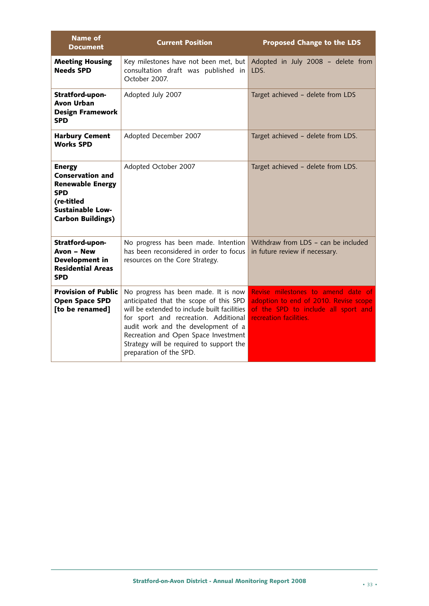| <b>Name of</b><br><b>Document</b>                                                                                                                      | <b>Current Position</b>                                                                                                                                                                                                                                                                                                      | <b>Proposed Change to the LDS</b>                                                                                                            |
|--------------------------------------------------------------------------------------------------------------------------------------------------------|------------------------------------------------------------------------------------------------------------------------------------------------------------------------------------------------------------------------------------------------------------------------------------------------------------------------------|----------------------------------------------------------------------------------------------------------------------------------------------|
| <b>Meeting Housing</b><br><b>Needs SPD</b>                                                                                                             | Key milestones have not been met, but<br>consultation draft was published in<br>October 2007.                                                                                                                                                                                                                                | Adopted in July 2008 - delete from<br>LDS.                                                                                                   |
| Stratford-upon-<br><b>Avon Urban</b><br><b>Design Framework</b><br><b>SPD</b>                                                                          | Adopted July 2007                                                                                                                                                                                                                                                                                                            | Target achieved - delete from LDS                                                                                                            |
| <b>Harbury Cement</b><br><b>Works SPD</b>                                                                                                              | Adopted December 2007                                                                                                                                                                                                                                                                                                        | Target achieved - delete from LDS.                                                                                                           |
| <b>Energy</b><br><b>Conservation and</b><br><b>Renewable Energy</b><br><b>SPD</b><br>(re-titled<br><b>Sustainable Low-</b><br><b>Carbon Buildings)</b> | Adopted October 2007                                                                                                                                                                                                                                                                                                         | Target achieved - delete from LDS.                                                                                                           |
| Stratford-upon-<br><b>Avon - New</b><br>Development in<br><b>Residential Areas</b><br><b>SPD</b>                                                       | No progress has been made. Intention<br>has been reconsidered in order to focus<br>resources on the Core Strategy.                                                                                                                                                                                                           | Withdraw from LDS - can be included<br>in future review if necessary.                                                                        |
| <b>Provision of Public</b><br><b>Open Space SPD</b><br>[to be renamed]                                                                                 | No progress has been made. It is now<br>anticipated that the scope of this SPD<br>will be extended to include built facilities<br>for sport and recreation. Additional<br>audit work and the development of a<br>Recreation and Open Space Investment<br>Strategy will be required to support the<br>preparation of the SPD. | Revise milestones to amend date of<br>adoption to end of 2010. Revise scope<br>of the SPD to include all sport and<br>recreation facilities. |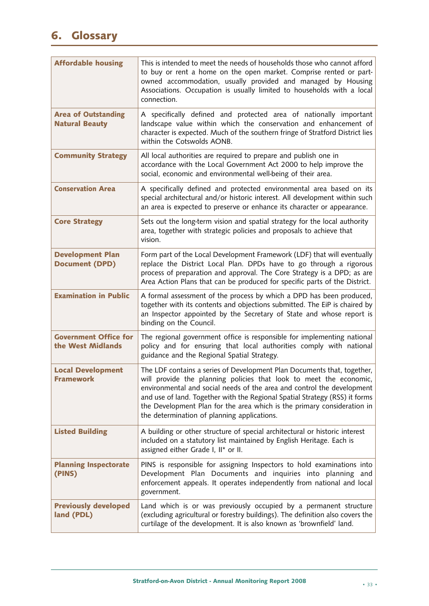# **6. Glossary**

| <b>Affordable housing</b>                           | This is intended to meet the needs of households those who cannot afford<br>to buy or rent a home on the open market. Comprise rented or part-<br>owned accommodation, usually provided and managed by Housing<br>Associations. Occupation is usually limited to households with a local<br>connection.                                                                                                                          |
|-----------------------------------------------------|----------------------------------------------------------------------------------------------------------------------------------------------------------------------------------------------------------------------------------------------------------------------------------------------------------------------------------------------------------------------------------------------------------------------------------|
| <b>Area of Outstanding</b><br><b>Natural Beauty</b> | A specifically defined and protected area of nationally important<br>landscape value within which the conservation and enhancement of<br>character is expected. Much of the southern fringe of Stratford District lies<br>within the Cotswolds AONB.                                                                                                                                                                             |
| <b>Community Strategy</b>                           | All local authorities are required to prepare and publish one in<br>accordance with the Local Government Act 2000 to help improve the<br>social, economic and environmental well-being of their area.                                                                                                                                                                                                                            |
| <b>Conservation Area</b>                            | A specifically defined and protected environmental area based on its<br>special architectural and/or historic interest. All development within such<br>an area is expected to preserve or enhance its character or appearance.                                                                                                                                                                                                   |
| <b>Core Strategy</b>                                | Sets out the long-term vision and spatial strategy for the local authority<br>area, together with strategic policies and proposals to achieve that<br>vision.                                                                                                                                                                                                                                                                    |
| <b>Development Plan</b><br><b>Document (DPD)</b>    | Form part of the Local Development Framework (LDF) that will eventually<br>replace the District Local Plan. DPDs have to go through a rigorous<br>process of preparation and approval. The Core Strategy is a DPD; as are<br>Area Action Plans that can be produced for specific parts of the District.                                                                                                                          |
| <b>Examination in Public</b>                        | A formal assessment of the process by which a DPD has been produced,<br>together with its contents and objections submitted. The EiP is chaired by<br>an Inspector appointed by the Secretary of State and whose report is<br>binding on the Council.                                                                                                                                                                            |
| <b>Government Office for</b><br>the West Midlands   | The regional government office is responsible for implementing national<br>policy and for ensuring that local authorities comply with national<br>guidance and the Regional Spatial Strategy.                                                                                                                                                                                                                                    |
| <b>Local Development</b><br><b>Framework</b>        | The LDF contains a series of Development Plan Documents that, together,<br>will provide the planning policies that look to meet the economic,<br>environmental and social needs of the area and control the development<br>and use of land. Together with the Regional Spatial Strategy (RSS) it forms<br>the Development Plan for the area which is the primary consideration in<br>the determination of planning applications. |
| <b>Listed Building</b>                              | A building or other structure of special architectural or historic interest<br>included on a statutory list maintained by English Heritage. Each is<br>assigned either Grade I, II* or II.                                                                                                                                                                                                                                       |
| <b>Planning Inspectorate</b><br>(PINS)              | PINS is responsible for assigning Inspectors to hold examinations into<br>Development Plan Documents and inquiries into planning and<br>enforcement appeals. It operates independently from national and local<br>government.                                                                                                                                                                                                    |
| <b>Previously developed</b><br>land (PDL)           | Land which is or was previously occupied by a permanent structure<br>(excluding agricultural or forestry buildings). The definition also covers the<br>curtilage of the development. It is also known as 'brownfield' land.                                                                                                                                                                                                      |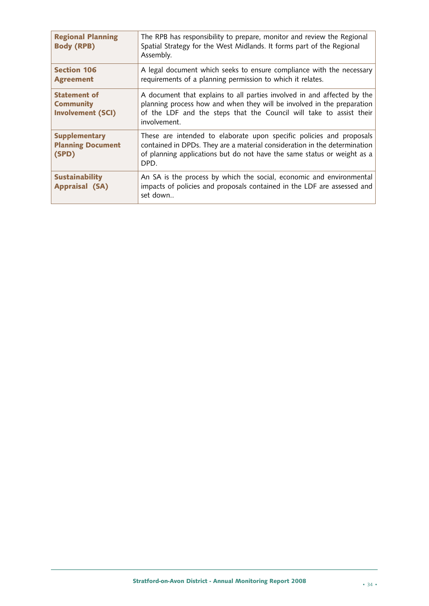| <b>Regional Planning</b><br><b>Body (RPB)</b>                       | The RPB has responsibility to prepare, monitor and review the Regional<br>Spatial Strategy for the West Midlands. It forms part of the Regional<br>Assembly.                                                                             |
|---------------------------------------------------------------------|------------------------------------------------------------------------------------------------------------------------------------------------------------------------------------------------------------------------------------------|
| <b>Section 106</b><br><b>Agreement</b>                              | A legal document which seeks to ensure compliance with the necessary<br>requirements of a planning permission to which it relates.                                                                                                       |
| <b>Statement of</b><br><b>Community</b><br><b>Involvement (SCI)</b> | A document that explains to all parties involved in and affected by the<br>planning process how and when they will be involved in the preparation<br>of the LDF and the steps that the Council will take to assist their<br>involvement. |
| <b>Supplementary</b><br><b>Planning Document</b><br>(SPD)           | These are intended to elaborate upon specific policies and proposals<br>contained in DPDs. They are a material consideration in the determination<br>of planning applications but do not have the same status or weight as a<br>DPD.     |
| <b>Sustainability</b><br><b>Appraisal (SA)</b>                      | An SA is the process by which the social, economic and environmental<br>impacts of policies and proposals contained in the LDF are assessed and<br>set down                                                                              |